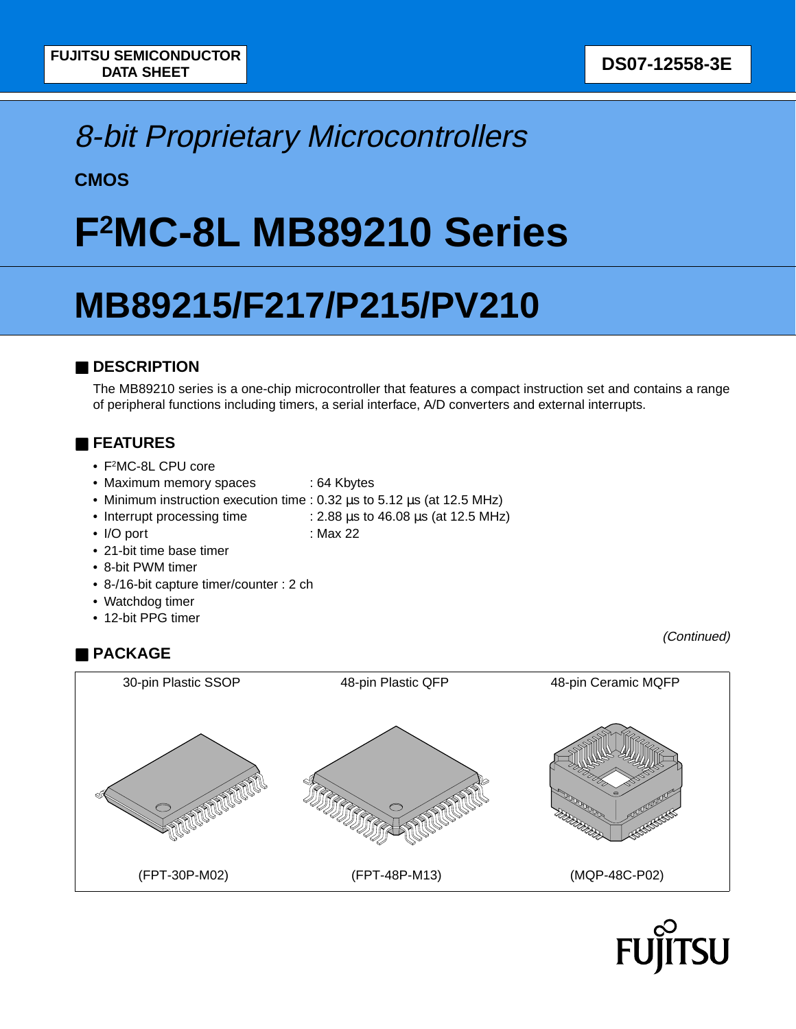## 8-bit Proprietary Microcontrollers

**CMOS**

# **F2MC-8L MB89210 Series**

# **MB89215/F217/P215/PV210**

## ■ **DESCRIPTION**

The MB89210 series is a one-chip microcontroller that features a compact instruction set and contains a range of peripheral functions including timers, a serial interface, A/D converters and external interrupts.

## ■ **FEATURES**

- F2MC-8L CPU core
- Maximum memory spaces : 64 Kbytes
- Minimum instruction execution time : 0.32  $\mu$ s to 5.12  $\mu$ s (at 12.5 MHz)
- Interrupt processing time : 2.88 us to 46.08 us (at 12.5 MHz)
- 
- I/O port : Max 22
- 21-bit time base timer
- 8-bit PWM timer
- 8-/16-bit capture timer/counter : 2 ch
- Watchdog timer
- 12-bit PPG timer

## ■ **PACKAGE**



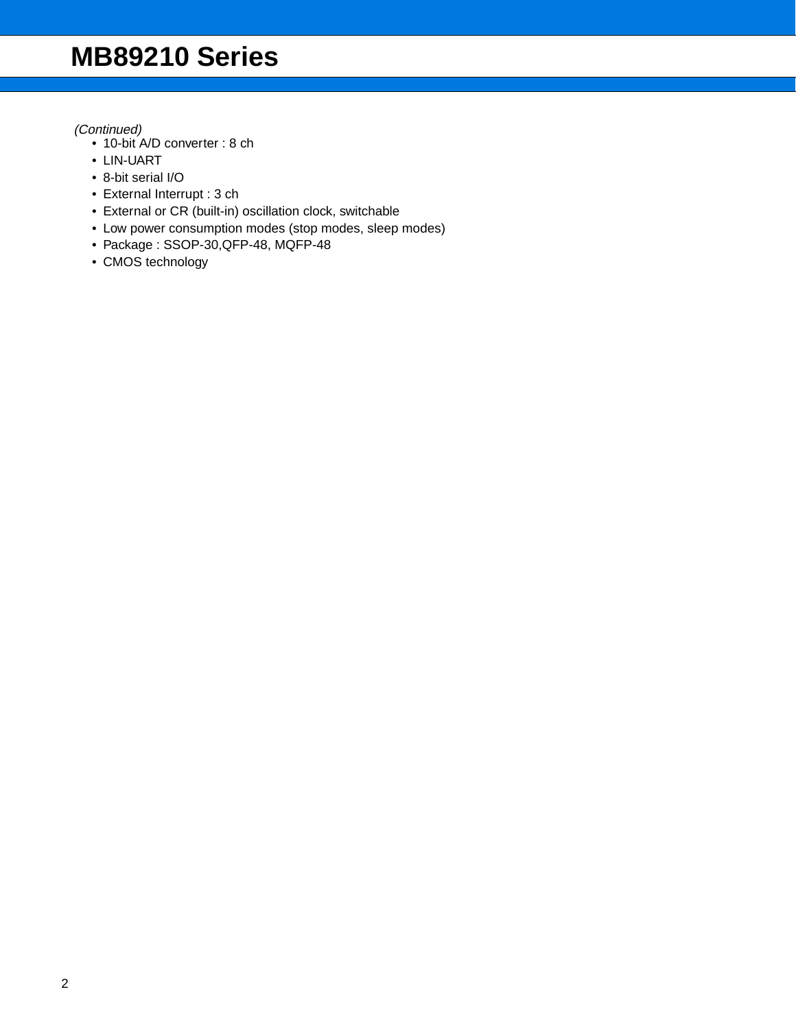- 10-bit A/D converter : 8 ch
- LIN-UART
- 8-bit serial I/O
- External Interrupt : 3 ch
- External or CR (built-in) oscillation clock, switchable
- Low power consumption modes (stop modes, sleep modes)
- Package : SSOP-30,QFP-48, MQFP-48
- CMOS technology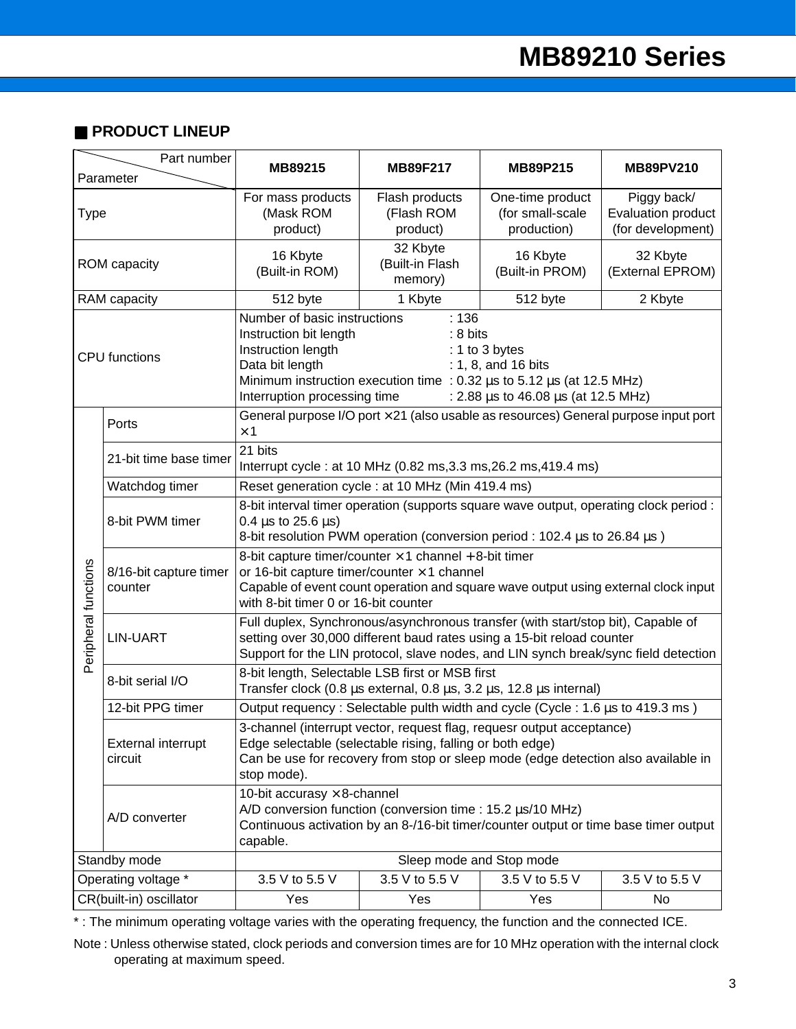## ■ **PRODUCT LINEUP**

|                      | Part number<br>Parameter             | MB89215                                                                                                                                                                                                                                                                                                                | <b>MB89F217</b>                          | MB89P215                                                                            | <b>MB89PV210</b>                                       |  |  |  |  |
|----------------------|--------------------------------------|------------------------------------------------------------------------------------------------------------------------------------------------------------------------------------------------------------------------------------------------------------------------------------------------------------------------|------------------------------------------|-------------------------------------------------------------------------------------|--------------------------------------------------------|--|--|--|--|
| <b>Type</b>          |                                      | For mass products<br>(Mask ROM<br>product)                                                                                                                                                                                                                                                                             | Flash products<br>(Flash ROM<br>product) | One-time product<br>(for small-scale<br>production)                                 | Piggy back/<br>Evaluation product<br>(for development) |  |  |  |  |
|                      | ROM capacity                         | 16 Kbyte<br>(Built-in ROM)                                                                                                                                                                                                                                                                                             | 32 Kbyte<br>(Built-in Flash<br>memory)   | 16 Kbyte<br>(Built-in PROM)                                                         | 32 Kbyte<br>(External EPROM)                           |  |  |  |  |
|                      | RAM capacity                         | 512 byte                                                                                                                                                                                                                                                                                                               | 1 Kbyte                                  | 512 byte                                                                            | 2 Kbyte                                                |  |  |  |  |
| <b>CPU</b> functions |                                      | :136<br>Number of basic instructions<br>Instruction bit length<br>: 8 bits<br>Instruction length<br>: 1 to 3 bytes<br>Data bit length<br>: 1, 8, and 16 bits<br>Minimum instruction execution time : $0.32 \mu s$ to $5.12 \mu s$ (at 12.5 MHz)<br>Interruption processing time<br>: 2.88 us to 46.08 us (at 12.5 MHz) |                                          |                                                                                     |                                                        |  |  |  |  |
|                      | Ports                                | $\times$ 1                                                                                                                                                                                                                                                                                                             |                                          | General purpose I/O port × 21 (also usable as resources) General purpose input port |                                                        |  |  |  |  |
|                      | 21-bit time base timer               | 21 bits<br>Interrupt cycle : at 10 MHz (0.82 ms, 3.3 ms, 26.2 ms, 419.4 ms)                                                                                                                                                                                                                                            |                                          |                                                                                     |                                                        |  |  |  |  |
|                      | Watchdog timer                       | Reset generation cycle : at 10 MHz (Min 419.4 ms)                                                                                                                                                                                                                                                                      |                                          |                                                                                     |                                                        |  |  |  |  |
|                      | 8-bit PWM timer                      | 8-bit interval timer operation (supports square wave output, operating clock period :<br>$0.4 \,\mu s$ to 25.6 $\mu s$ )<br>8-bit resolution PWM operation (conversion period : 102.4 µs to 26.84 µs)                                                                                                                  |                                          |                                                                                     |                                                        |  |  |  |  |
| Peripheral functions | 8/16-bit capture timer<br>counter    | 8-bit capture timer/counter $\times$ 1 channel + 8-bit timer<br>or 16-bit capture timer/counter $\times$ 1 channel<br>Capable of event count operation and square wave output using external clock input<br>with 8-bit timer 0 or 16-bit counter                                                                       |                                          |                                                                                     |                                                        |  |  |  |  |
|                      | <b>LIN-UART</b>                      | Full duplex, Synchronous/asynchronous transfer (with start/stop bit), Capable of<br>setting over 30,000 different baud rates using a 15-bit reload counter<br>Support for the LIN protocol, slave nodes, and LIN synch break/sync field detection                                                                      |                                          |                                                                                     |                                                        |  |  |  |  |
|                      | 8-bit serial I/O                     | 8-bit length, Selectable LSB first or MSB first<br>Transfer clock (0.8 $\mu$ s external, 0.8 $\mu$ s, 3.2 $\mu$ s, 12.8 $\mu$ s internal)                                                                                                                                                                              |                                          |                                                                                     |                                                        |  |  |  |  |
|                      | 12-bit PPG timer                     |                                                                                                                                                                                                                                                                                                                        |                                          | Output requency: Selectable pulth width and cycle (Cycle: 1.6 µs to 419.3 ms)       |                                                        |  |  |  |  |
|                      | <b>External interrupt</b><br>circuit | 3-channel (interrupt vector, request flag, requesr output acceptance)<br>Edge selectable (selectable rising, falling or both edge)<br>Can be use for recovery from stop or sleep mode (edge detection also available in<br>stop mode).                                                                                 |                                          |                                                                                     |                                                        |  |  |  |  |
|                      | A/D converter                        | 10-bit accurasy $\times$ 8-channel<br>A/D conversion function (conversion time : 15.2 µs/10 MHz)<br>Continuous activation by an 8-/16-bit timer/counter output or time base timer output<br>capable.                                                                                                                   |                                          |                                                                                     |                                                        |  |  |  |  |
|                      | Standby mode                         |                                                                                                                                                                                                                                                                                                                        | Sleep mode and Stop mode                 |                                                                                     |                                                        |  |  |  |  |
|                      | Operating voltage *                  | 3.5 V to 5.5 V                                                                                                                                                                                                                                                                                                         | 3.5 V to 5.5 V                           | 3.5 V to 5.5 V                                                                      | 3.5 V to 5.5 V                                         |  |  |  |  |
|                      | CR(built-in) oscillator              | Yes                                                                                                                                                                                                                                                                                                                    | Yes                                      | Yes                                                                                 | No                                                     |  |  |  |  |

\* : The minimum operating voltage varies with the operating frequency, the function and the connected ICE.

Note : Unless otherwise stated, clock periods and conversion times are for 10 MHz operation with the internal clock operating at maximum speed.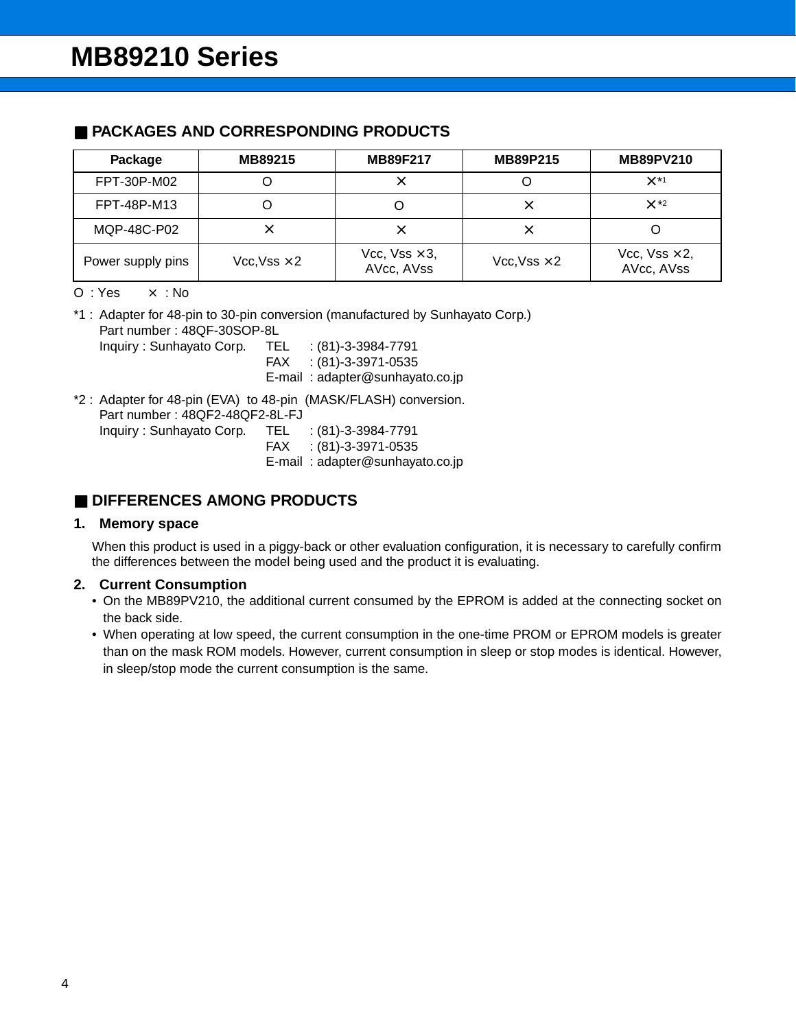### ■ **PACKAGES AND CORRESPONDING PRODUCTS**

| Package           | MB89215             | <b>MB89F217</b>                     | <b>MB89P215</b>     | <b>MB89PV210</b>                    |
|-------------------|---------------------|-------------------------------------|---------------------|-------------------------------------|
| FPT-30P-M02       |                     |                                     |                     | $\times$ *1                         |
| FPT-48P-M13       |                     |                                     | ×                   | $\times$ *2                         |
| MQP-48C-P02       | ×                   |                                     | ×                   |                                     |
| Power supply pins | $Vcc, Vss \times 2$ | Vcc, $Vss \times 3$ ,<br>AVcc, AVss | $Vcc, Vss \times 2$ | Vcc, $Vss \times 2$ ,<br>AVcc, AVss |

 $O: Yes \times : No$ 

\*1 : Adapter for 48-pin to 30-pin conversion (manufactured by Sunhayato Corp.) Part number : 48QF-30SOP-8L Inquiry : Sunhayato Corp. TEL : (81)-3-3984-7791 FAX : (81)-3-3971-0535 E-mail : adapter@sunhayato.co.jp

\*2 : Adapter for 48-pin (EVA) to 48-pin (MASK/FLASH) conversion. Part number : 48QF2-48QF2-8L-FJ Inquiry: Sunhayato Corp.  $TEL : (81)-3-3984-7791$ FAX : (81)-3-3971-0535 E-mail : adapter@sunhayato.co.jp

## ■ **DIFFERENCES AMONG PRODUCTS**

### **1. Memory space**

When this product is used in a piggy-back or other evaluation configuration, it is necessary to carefully confirm the differences between the model being used and the product it is evaluating.

### **2. Current Consumption**

- On the MB89PV210, the additional current consumed by the EPROM is added at the connecting socket on the back side.
- When operating at low speed, the current consumption in the one-time PROM or EPROM models is greater than on the mask ROM models. However, current consumption in sleep or stop modes is identical. However, in sleep/stop mode the current consumption is the same.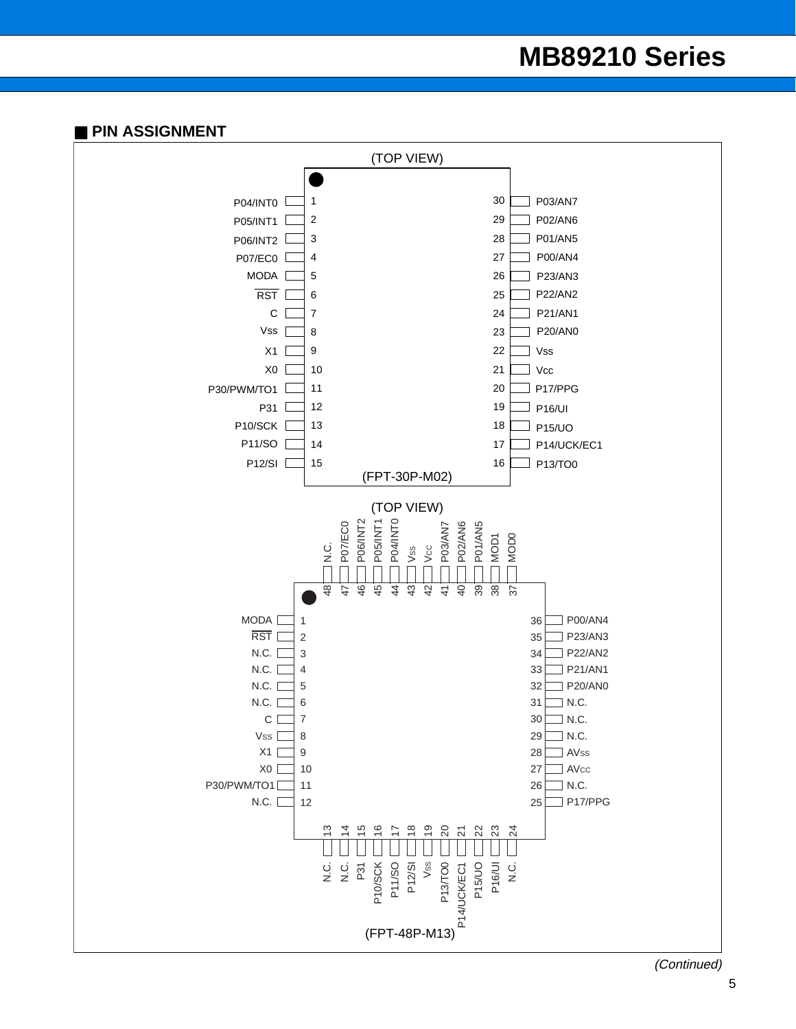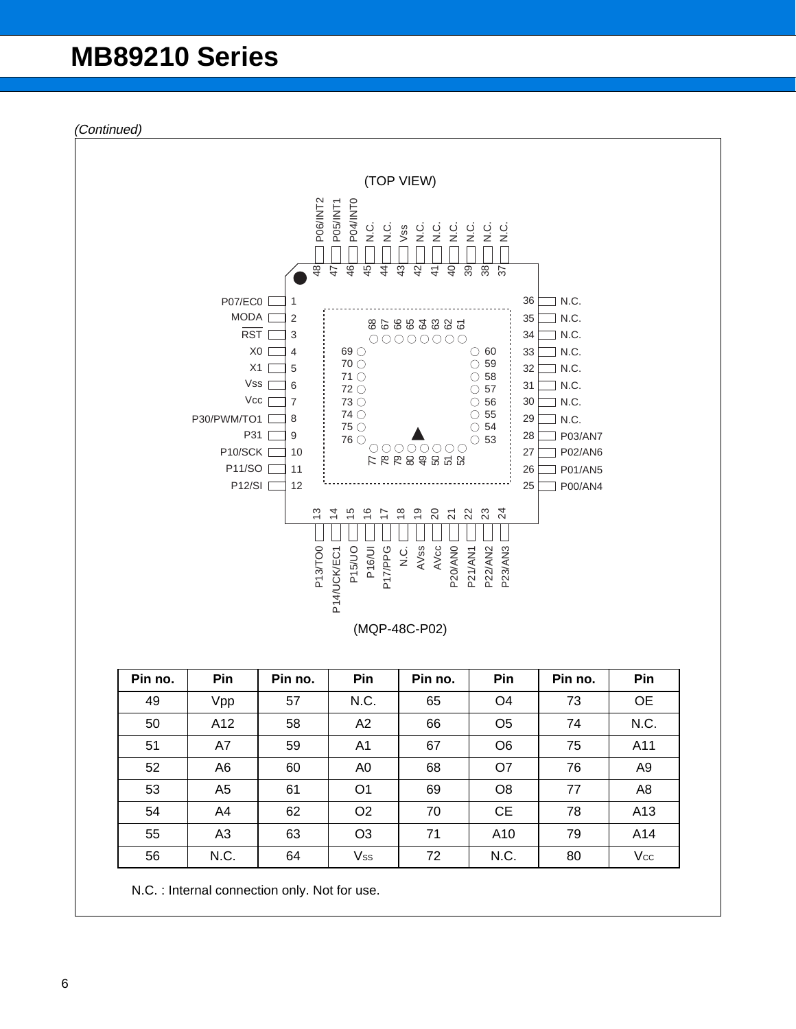

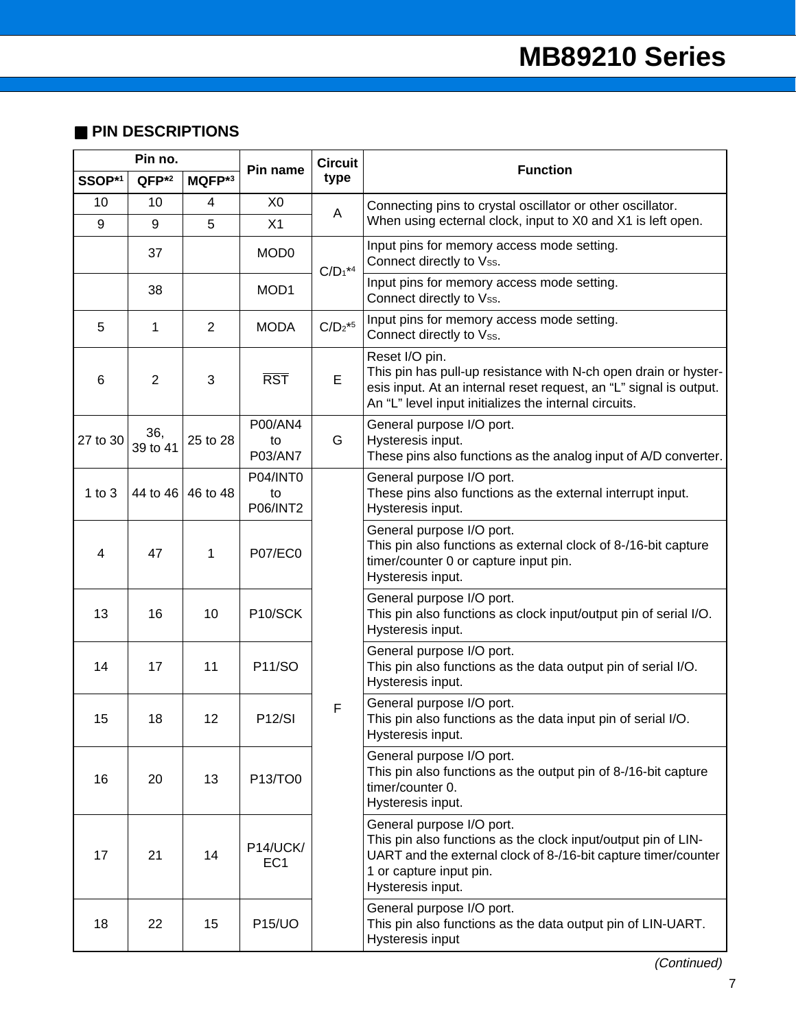## ■ **PIN DESCRIPTIONS**

| Pin no.  |                   | Pin name       | <b>Circuit</b>                    | <b>Function</b> |                                                                                                                                                                                                                  |  |
|----------|-------------------|----------------|-----------------------------------|-----------------|------------------------------------------------------------------------------------------------------------------------------------------------------------------------------------------------------------------|--|
| SSOP*1   | QFP <sup>*2</sup> | MQFP*3         |                                   | type            |                                                                                                                                                                                                                  |  |
| 10<br>9  | 10<br>9           | 4<br>5         | X <sub>0</sub><br>X1              | Α               | Connecting pins to crystal oscillator or other oscillator.<br>When using ecternal clock, input to X0 and X1 is left open.                                                                                        |  |
|          | 37                |                | MOD <sub>0</sub>                  | $C/D_1*4$       | Input pins for memory access mode setting.<br>Connect directly to Vss.                                                                                                                                           |  |
|          | 38                |                | MOD <sub>1</sub>                  |                 | Input pins for memory access mode setting.<br>Connect directly to Vss.                                                                                                                                           |  |
| 5        | 1                 | $\overline{2}$ | <b>MODA</b>                       | $C/D_2$ *5      | Input pins for memory access mode setting.<br>Connect directly to Vss.                                                                                                                                           |  |
| 6        | $\overline{2}$    | 3              | <b>RST</b>                        | E               | Reset I/O pin.<br>This pin has pull-up resistance with N-ch open drain or hyster-<br>esis input. At an internal reset request, an "L" signal is output.<br>An "L" level input initializes the internal circuits. |  |
| 27 to 30 | 36,<br>39 to 41   | 25 to 28       | P00/AN4<br>to<br>P03/AN7          | G               | General purpose I/O port.<br>Hysteresis input.<br>These pins also functions as the analog input of A/D converter.                                                                                                |  |
| 1 to $3$ | 44 to 46          | 46 to 48       | P04/INT0<br>to<br><b>P06/INT2</b> |                 | General purpose I/O port.<br>These pins also functions as the external interrupt input.<br>Hysteresis input.                                                                                                     |  |
| 4        | 47                | 1              | <b>P07/EC0</b>                    |                 | General purpose I/O port.<br>This pin also functions as external clock of 8-/16-bit capture<br>timer/counter 0 or capture input pin.<br>Hysteresis input.                                                        |  |
| 13       | 16                | 10             | P10/SCK                           |                 | General purpose I/O port.<br>This pin also functions as clock input/output pin of serial I/O.<br>Hysteresis input.                                                                                               |  |
| 14       | 17                | 11             | <b>P11/SO</b>                     |                 | General purpose I/O port.<br>This pin also functions as the data output pin of serial I/O.<br>Hysteresis input.                                                                                                  |  |
| 15       | 18                | 12             | <b>P12/SI</b>                     | F               | General purpose I/O port.<br>This pin also functions as the data input pin of serial I/O.<br>Hysteresis input.                                                                                                   |  |
| 16       | 20                | 13             | P13/TO0                           |                 | General purpose I/O port.<br>This pin also functions as the output pin of 8-/16-bit capture<br>timer/counter 0.<br>Hysteresis input.                                                                             |  |
| 17       | 21                | 14             | P14/UCK/<br>EC <sub>1</sub>       |                 | General purpose I/O port.<br>This pin also functions as the clock input/output pin of LIN-<br>UART and the external clock of 8-/16-bit capture timer/counter<br>1 or capture input pin.<br>Hysteresis input.     |  |
| 18       | 22                | 15             | <b>P15/UO</b>                     |                 | General purpose I/O port.<br>This pin also functions as the data output pin of LIN-UART.<br>Hysteresis input                                                                                                     |  |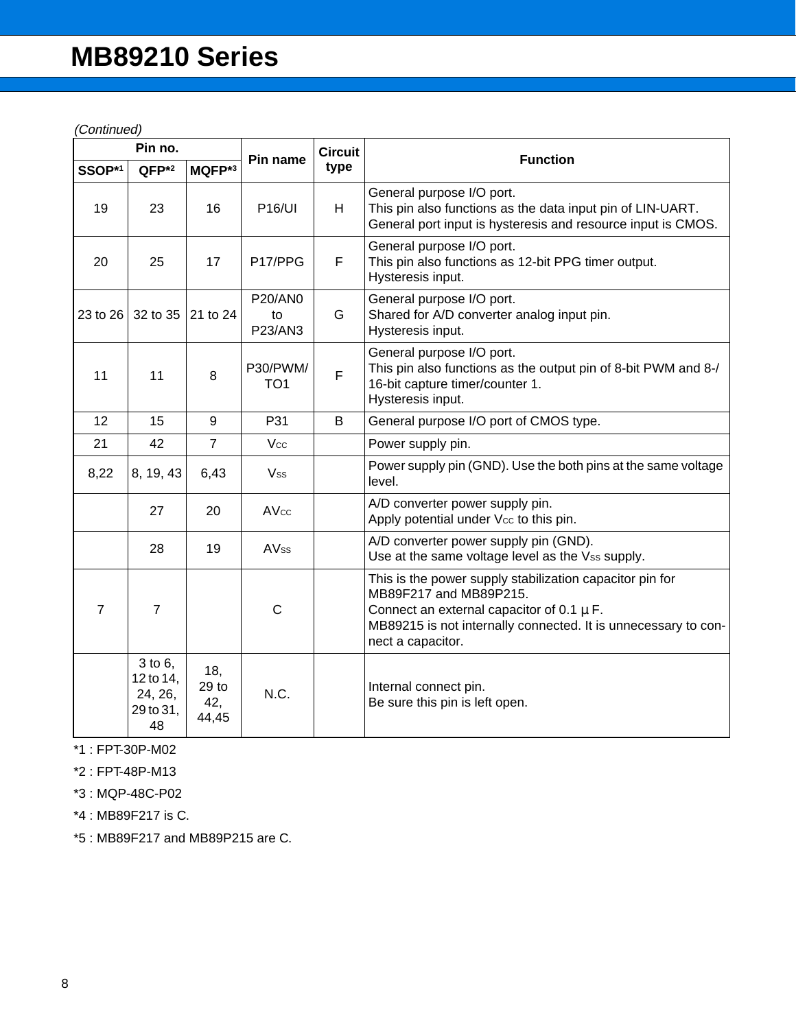(Continued)

|                | Pin no.                                                 |                                         |                                 | <b>Circuit</b> |                                                                                                                                                                                                                            |  |
|----------------|---------------------------------------------------------|-----------------------------------------|---------------------------------|----------------|----------------------------------------------------------------------------------------------------------------------------------------------------------------------------------------------------------------------------|--|
| SSOP*1         | QFP <sup>*2</sup>                                       | MQFP*3                                  | Pin name                        | type           | <b>Function</b>                                                                                                                                                                                                            |  |
| 19             | 23                                                      | 16                                      | <b>P16/UI</b>                   | H              | General purpose I/O port.<br>This pin also functions as the data input pin of LIN-UART.<br>General port input is hysteresis and resource input is CMOS.                                                                    |  |
| 20             | 25                                                      | 17                                      | P17/PPG                         | F              | General purpose I/O port.<br>This pin also functions as 12-bit PPG timer output.<br>Hysteresis input.                                                                                                                      |  |
| 23 to 26       | 32 to 35                                                | 21 to 24                                | <b>P20/AN0</b><br>to<br>P23/AN3 | G              | General purpose I/O port.<br>Shared for A/D converter analog input pin.<br>Hysteresis input.                                                                                                                               |  |
| 11             | 11                                                      | 8                                       | P30/PWM/<br>TO <sub>1</sub>     | F              | General purpose I/O port.<br>This pin also functions as the output pin of 8-bit PWM and 8-/<br>16-bit capture timer/counter 1.<br>Hysteresis input.                                                                        |  |
| 12             | 15                                                      | 9                                       | P31                             | B              | General purpose I/O port of CMOS type.                                                                                                                                                                                     |  |
| 21             | 42                                                      | $\overline{7}$                          | Vcc                             |                | Power supply pin.                                                                                                                                                                                                          |  |
| 8,22           | 8, 19, 43                                               | 6,43                                    | Vss.                            |                | Power supply pin (GND). Use the both pins at the same voltage<br>level.                                                                                                                                                    |  |
|                | 27                                                      | 20                                      | AVcc                            |                | A/D converter power supply pin.<br>Apply potential under Vcc to this pin.                                                                                                                                                  |  |
|                | 28                                                      | 19                                      | <b>AVss</b>                     |                | A/D converter power supply pin (GND).<br>Use at the same voltage level as the Vss supply.                                                                                                                                  |  |
| $\overline{7}$ | $\overline{7}$                                          |                                         | $\mathsf{C}$                    |                | This is the power supply stabilization capacitor pin for<br>MB89F217 and MB89P215.<br>Connect an external capacitor of 0.1 $\mu$ F.<br>MB89215 is not internally connected. It is unnecessary to con-<br>nect a capacitor. |  |
|                | $3$ to $6$ ,<br>12 to 14,<br>24, 26,<br>29 to 31,<br>48 | 18,<br>29 <sub>to</sub><br>42,<br>44,45 | N.C.                            |                | Internal connect pin.<br>Be sure this pin is left open.                                                                                                                                                                    |  |

\*1 : FPT-30P-M02

\*2 : FPT-48P-M13

\*3 : MQP-48C-P02

\*4 : MB89F217 is C.

\*5 : MB89F217 and MB89P215 are C.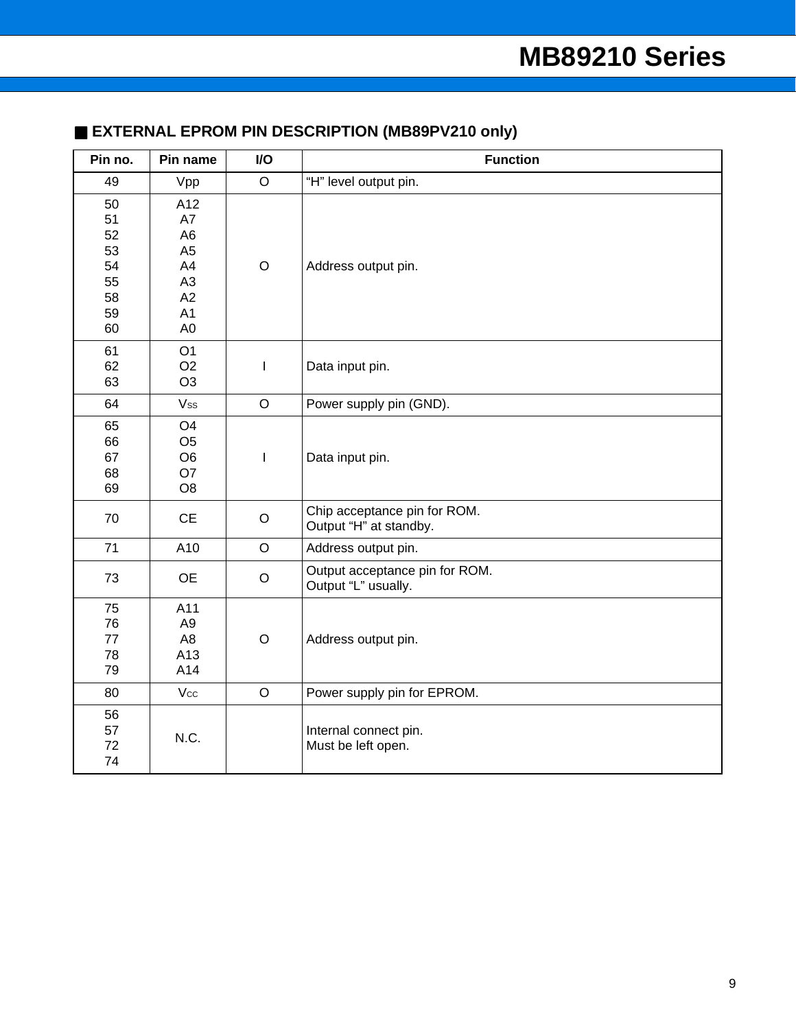## ■ **EXTERNAL EPROM PIN DESCRIPTION (MB89PV210 only)**

| Pin no.                                            | Pin name                                                                                                        | I/O          | <b>Function</b>                                        |
|----------------------------------------------------|-----------------------------------------------------------------------------------------------------------------|--------------|--------------------------------------------------------|
| 49                                                 | Vpp                                                                                                             | $\circ$      | "H" level output pin.                                  |
| 50<br>51<br>52<br>53<br>54<br>55<br>58<br>59<br>60 | A12<br>A7<br>A <sub>6</sub><br>A <sub>5</sub><br>A4<br>A <sub>3</sub><br>A2<br>A <sub>1</sub><br>A <sub>0</sub> | $\mathsf O$  | Address output pin.                                    |
| 61<br>62<br>63                                     | O <sub>1</sub><br>O <sub>2</sub><br>O <sub>3</sub>                                                              | I            | Data input pin.                                        |
| 64                                                 | Vss                                                                                                             | $\circ$      | Power supply pin (GND).                                |
| 65<br>66<br>67<br>68<br>69                         | O <sub>4</sub><br>O <sub>5</sub><br>O <sub>6</sub><br>O7<br>O <sub>8</sub>                                      | $\mathsf{I}$ | Data input pin.                                        |
| 70                                                 | <b>CE</b>                                                                                                       | $\mathsf O$  | Chip acceptance pin for ROM.<br>Output "H" at standby. |
| 71                                                 | A10                                                                                                             | $\mathsf O$  | Address output pin.                                    |
| 73                                                 | <b>OE</b>                                                                                                       | $\circ$      | Output acceptance pin for ROM.<br>Output "L" usually.  |
| 75<br>76<br>77<br>78<br>79                         | A11<br>A <sub>9</sub><br>A <sub>8</sub><br>A13<br>A14                                                           | $\bigcirc$   | Address output pin.                                    |
| 80                                                 | $V_{\rm CC}$                                                                                                    | $\circ$      | Power supply pin for EPROM.                            |
| 56<br>57<br>72<br>74                               | N.C.                                                                                                            |              | Internal connect pin.<br>Must be left open.            |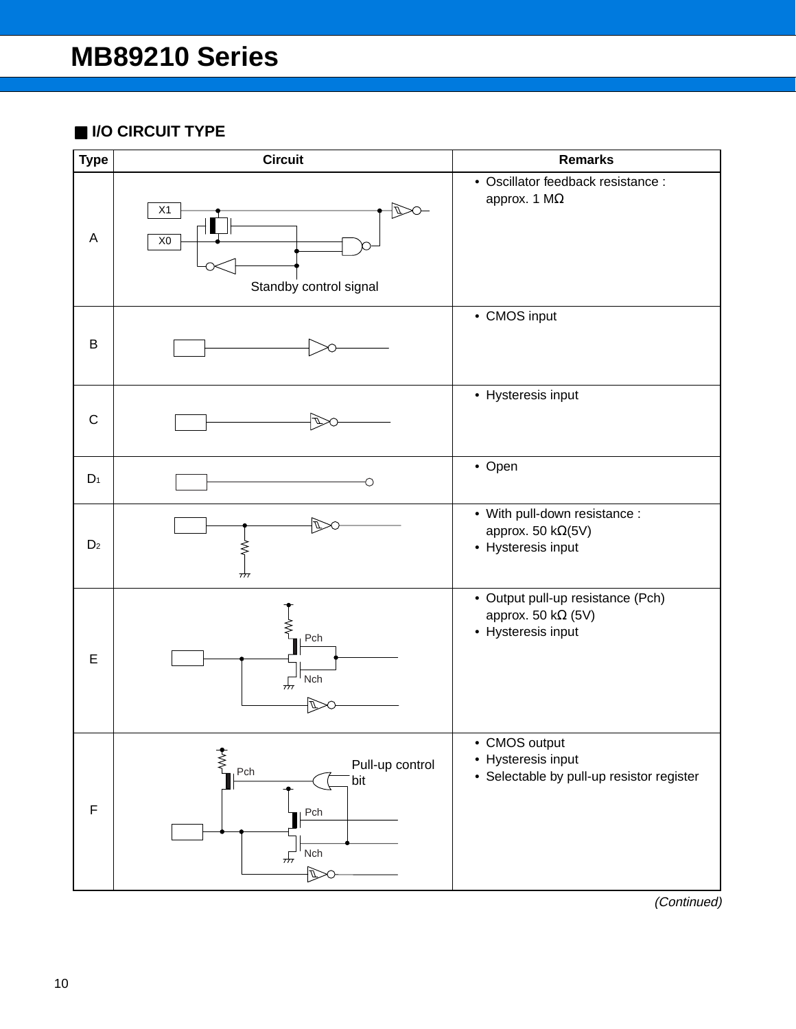## ■ **I/O CIRCUIT TYPE**

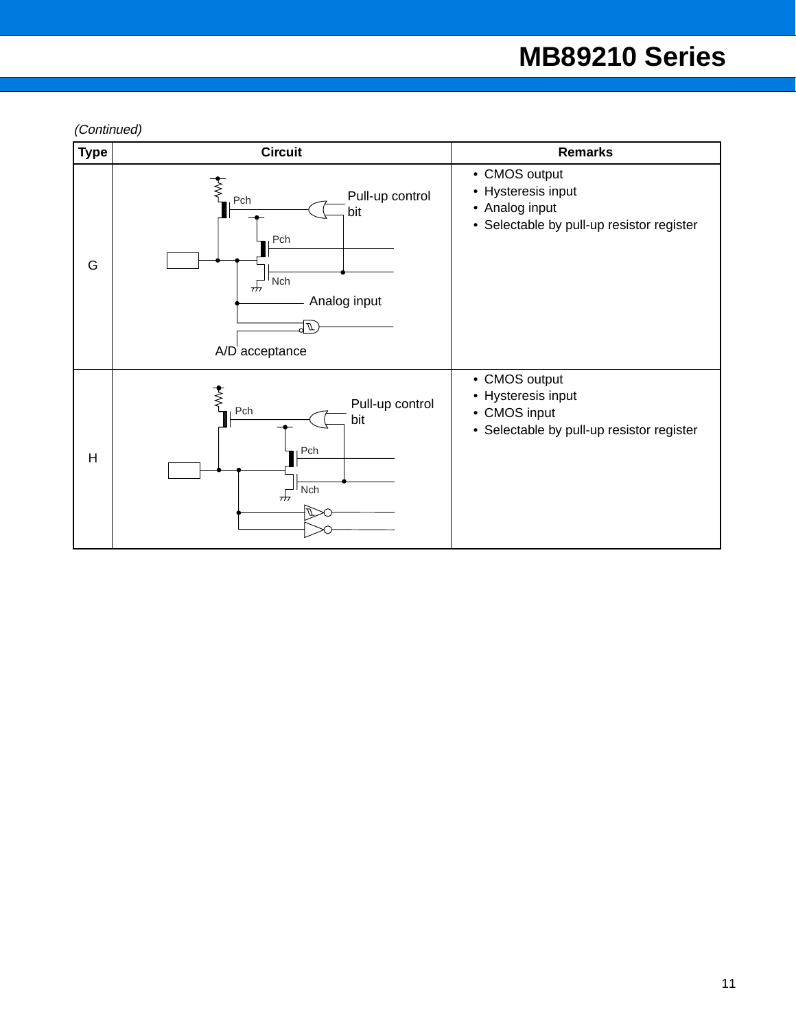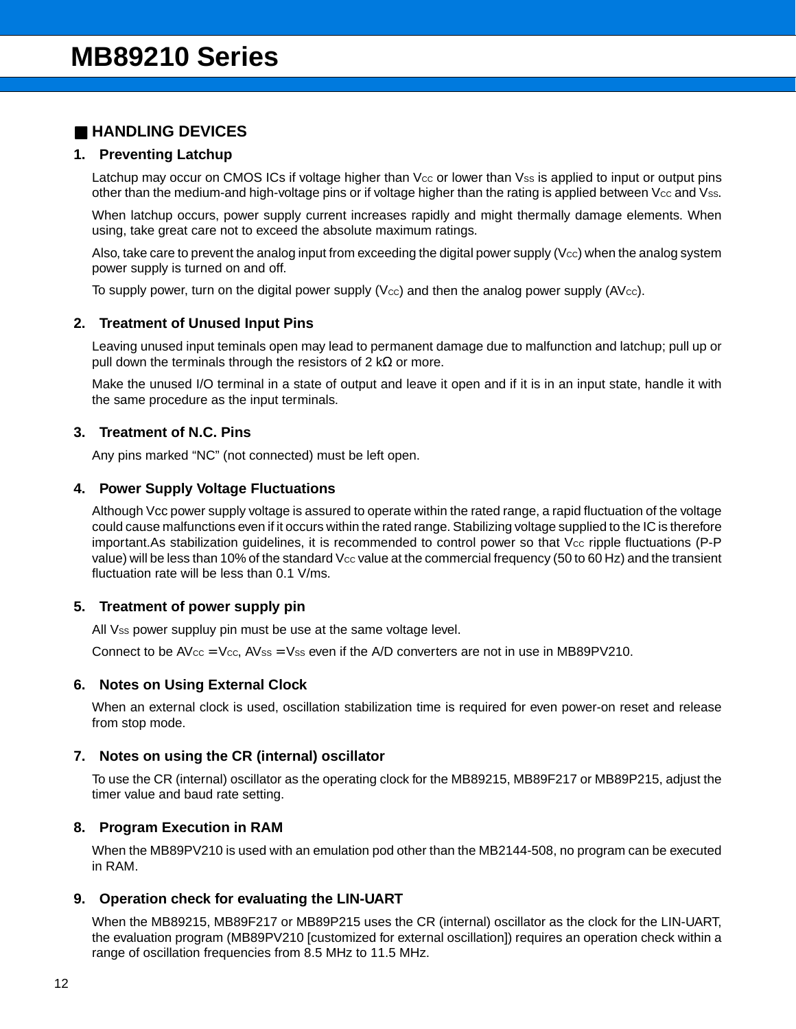## ■ **HANDLING DEVICES**

#### **1. Preventing Latchup**

Latchup may occur on CMOS ICs if voltage higher than Vcc or lower than Vss is applied to input or output pins other than the medium-and high-voltage pins or if voltage higher than the rating is applied between Vcc and Vss.

When latchup occurs, power supply current increases rapidly and might thermally damage elements. When using, take great care not to exceed the absolute maximum ratings.

Also, take care to prevent the analog input from exceeding the digital power supply (V $cc$ ) when the analog system power supply is turned on and off.

To supply power, turn on the digital power supply (V $cc$ ) and then the analog power supply ( $AVcc$ ).

#### **2. Treatment of Unused Input Pins**

Leaving unused input teminals open may lead to permanent damage due to malfunction and latchup; pull up or pull down the terminals through the resistors of 2 kΩ or more.

Make the unused I/O terminal in a state of output and leave it open and if it is in an input state, handle it with the same procedure as the input terminals.

#### **3. Treatment of N.C. Pins**

Any pins marked "NC" (not connected) must be left open.

#### **4. Power Supply Voltage Fluctuations**

Although Vcc power supply voltage is assured to operate within the rated range, a rapid fluctuation of the voltage could cause malfunctions even if it occurs within the rated range. Stabilizing voltage supplied to the IC is therefore important.As stabilization quidelines, it is recommended to control power so that  $V_{\text{CC}}$  ripple fluctuations (P-P) value) will be less than 10% of the standard Vcc value at the commercial frequency (50 to 60 Hz) and the transient fluctuation rate will be less than 0.1 V/ms.

#### **5. Treatment of power supply pin**

All Vss power suppluy pin must be use at the same voltage level.

Connect to be  $AV_{\text{CC}} = V_{\text{CC}}$ , AVss = Vss even if the A/D converters are not in use in MB89PV210.

#### **6. Notes on Using External Clock**

When an external clock is used, oscillation stabilization time is required for even power-on reset and release from stop mode.

#### **7. Notes on using the CR (internal) oscillator**

To use the CR (internal) oscillator as the operating clock for the MB89215, MB89F217 or MB89P215, adjust the timer value and baud rate setting.

### **8. Program Execution in RAM**

When the MB89PV210 is used with an emulation pod other than the MB2144-508, no program can be executed in RAM.

#### **9. Operation check for evaluating the LIN-UART**

When the MB89215, MB89F217 or MB89P215 uses the CR (internal) oscillator as the clock for the LIN-UART, the evaluation program (MB89PV210 [customized for external oscillation]) requires an operation check within a range of oscillation frequencies from 8.5 MHz to 11.5 MHz.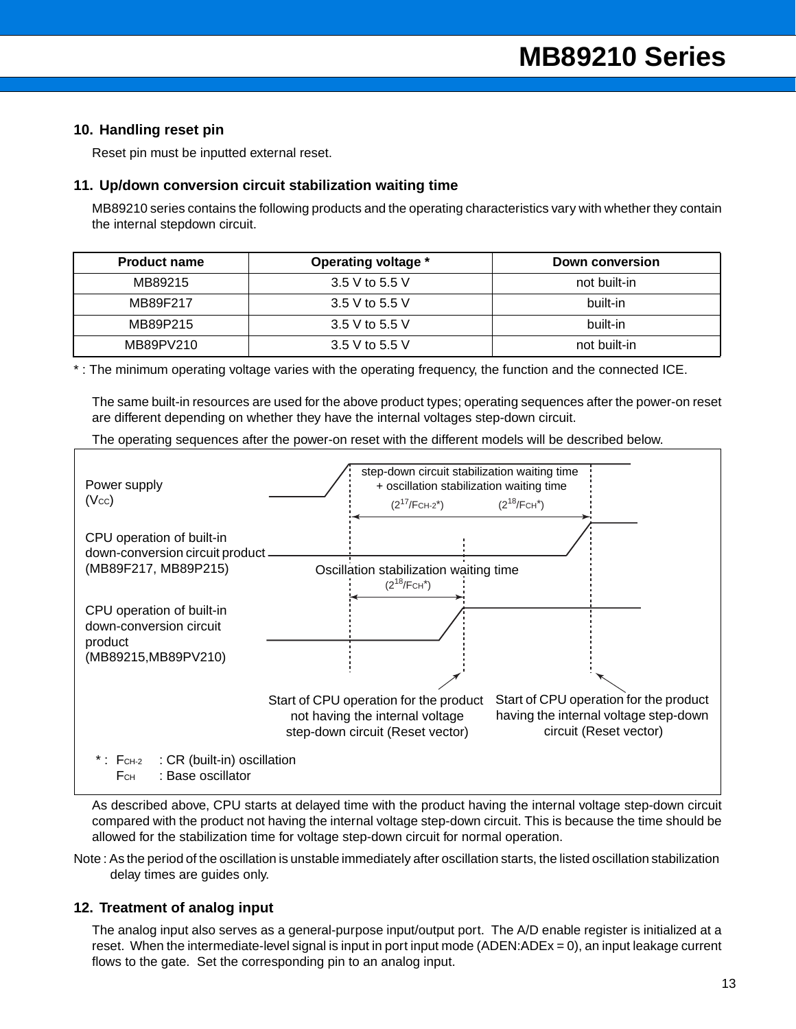#### **10. Handling reset pin**

Reset pin must be inputted external reset.

#### **11. Up/down conversion circuit stabilization waiting time**

MB89210 series contains the following products and the operating characteristics vary with whether they contain the internal stepdown circuit.

| <b>Product name</b> | Operating voltage * | Down conversion |
|---------------------|---------------------|-----------------|
| MB89215             | 3.5 V to 5.5 V      | not built-in    |
| MB89F217            | 3.5 V to 5.5 V      | built-in        |
| MB89P215            | 3.5 V to 5.5 V      | built-in        |
| MB89PV210           | 3.5 V to 5.5 V      | not built-in    |

\* : The minimum operating voltage varies with the operating frequency, the function and the connected ICE.

The same built-in resources are used for the above product types; operating sequences after the power-on reset are different depending on whether they have the internal voltages step-down circuit.

The operating sequences after the power-on reset with the different models will be described below.



As described above, CPU starts at delayed time with the product having the internal voltage step-down circuit compared with the product not having the internal voltage step-down circuit. This is because the time should be allowed for the stabilization time for voltage step-down circuit for normal operation.

Note : As the period of the oscillation is unstable immediately after oscillation starts, the listed oscillation stabilization delay times are guides only.

#### **12. Treatment of analog input**

The analog input also serves as a general-purpose input/output port. The A/D enable register is initialized at a reset. When the intermediate-level signal is input in port input mode (ADEN:ADEx = 0), an input leakage current flows to the gate. Set the corresponding pin to an analog input.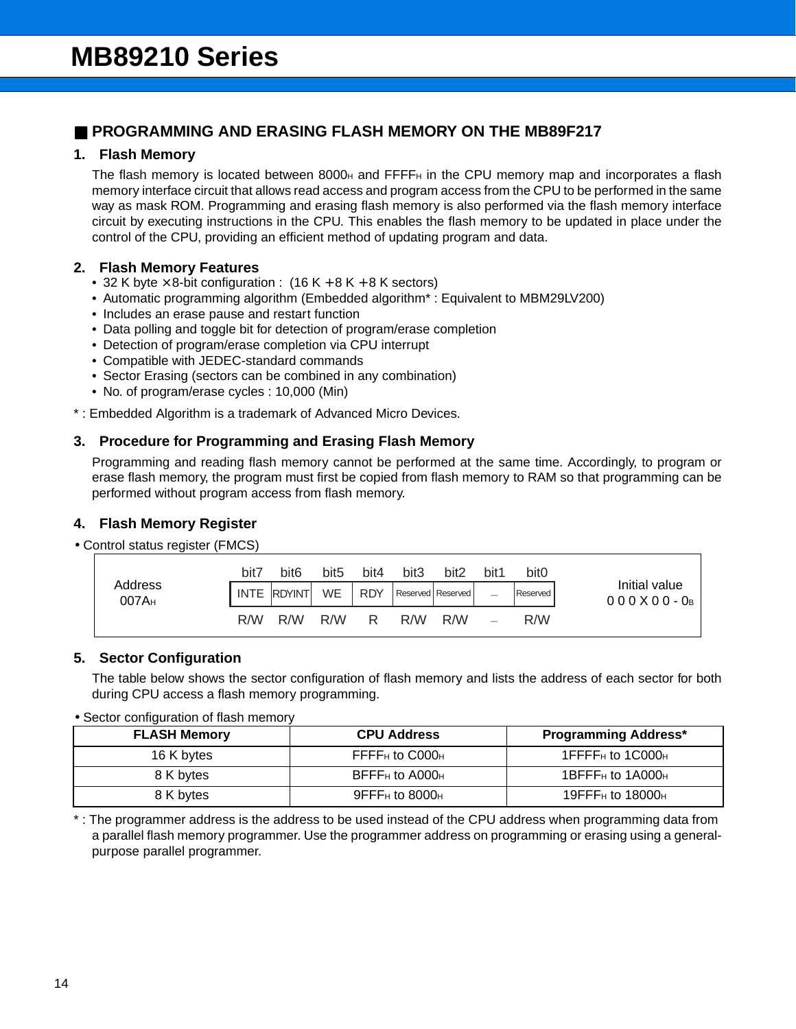## ■ **PROGRAMMING AND ERASING FLASH MEMORY ON THE MB89F217**

### **1. Flash Memory**

The flash memory is located between 8000 $H$  and FFFF $H$  in the CPU memory map and incorporates a flash memory interface circuit that allows read access and program access from the CPU to be performed in the same way as mask ROM. Programming and erasing flash memory is also performed via the flash memory interface circuit by executing instructions in the CPU. This enables the flash memory to be updated in place under the control of the CPU, providing an efficient method of updating program and data.

### **2. Flash Memory Features**

- 32 K byte  $\times$  8-bit configuration : (16 K + 8 K + 8 K sectors)
- Automatic programming algorithm (Embedded algorithm\* : Equivalent to MBM29LV200)
- Includes an erase pause and restart function
- Data polling and toggle bit for detection of program/erase completion
- Detection of program/erase completion via CPU interrupt
- Compatible with JEDEC-standard commands
- Sector Erasing (sectors can be combined in any combination)
- No. of program/erase cycles : 10,000 (Min)
- \* : Embedded Algorithm is a trademark of Advanced Micro Devices.

### **3. Procedure for Programming and Erasing Flash Memory**

Programming and reading flash memory cannot be performed at the same time. Accordingly, to program or erase flash memory, the program must first be copied from flash memory to RAM so that programming can be performed without program access from flash memory.

### **4. Flash Memory Register**

#### • Control status register (FMCS)

| <b>Flash Memory Register</b>   |      |                  |                  |            |                  |                   |                          |                  |                                 |
|--------------------------------|------|------------------|------------------|------------|------------------|-------------------|--------------------------|------------------|---------------------------------|
| Control status register (FMCS) |      |                  |                  |            |                  |                   |                          |                  |                                 |
|                                | bit7 | bit <sub>6</sub> | bit <sub>5</sub> | bit4       | bit <sub>3</sub> | bit <sub>2</sub>  | bit1                     | bit <sub>0</sub> |                                 |
| Address<br>007A <sub>H</sub>   |      | INTE RDYINT      | <b>WE</b>        | <b>RDY</b> |                  | Reserved Reserved | $\overline{\phantom{0}}$ | Reserved         | Initial value<br>$000X00 - 0_B$ |
|                                | R/W  | R/W              | R/W              | R.         | R/W              | R/W               |                          | R/W              |                                 |

### **5. Sector Configuration**

The table below shows the sector configuration of flash memory and lists the address of each sector for both during CPU access a flash memory programming.

#### • Sector configuration of flash memory

| <b>FLASH Memory</b> | <b>CPU Address</b>                        | <b>Programming Address*</b>              |
|---------------------|-------------------------------------------|------------------------------------------|
| 16 K bytes          | $F$ FFF $F$ H to $C$ 000H                 | 1FFFF <sub>H</sub> to 1C000 <sub>H</sub> |
| 8 K bytes           | $BFFFH$ to $A000H$                        | 1BFFF $H$ to 1A000 $H$                   |
| 8 K bytes           | $9$ FFF <sub>H</sub> to 8000 <sub>H</sub> | 19FFF $H$ to 18000 $H$                   |

\* : The programmer address is the address to be used instead of the CPU address when programming data from a parallel flash memory programmer. Use the programmer address on programming or erasing using a generalpurpose parallel programmer.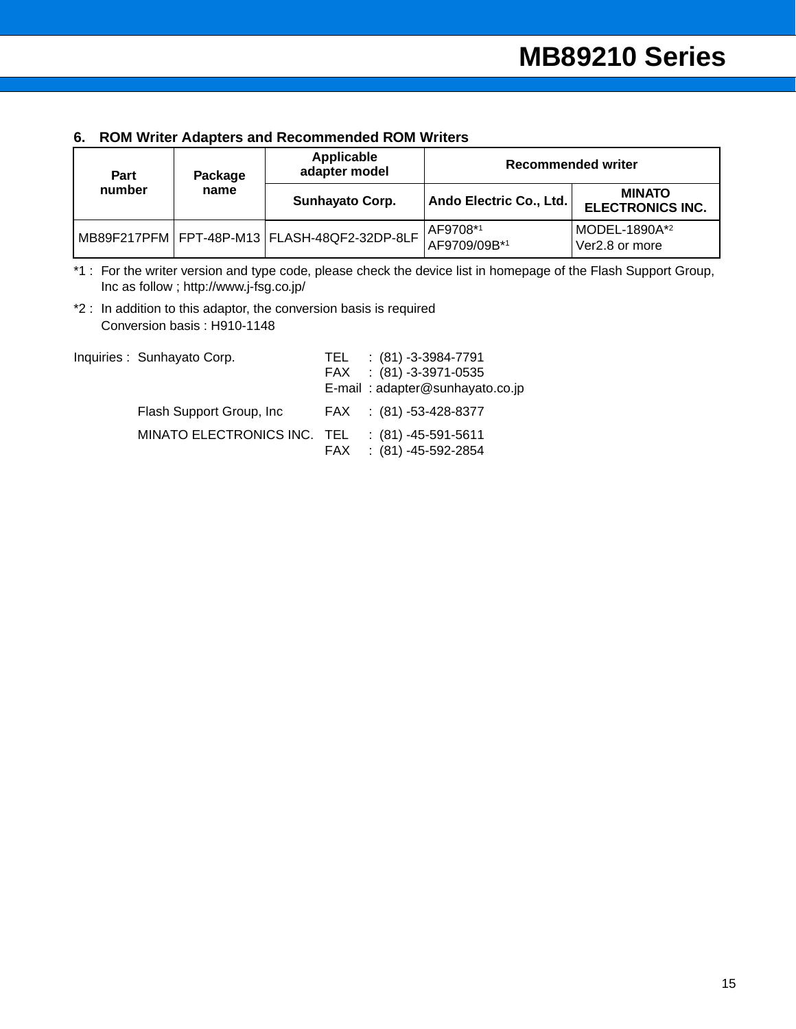### **6. ROM Writer Adapters and Recommended ROM Writers**

| Part   | Package | Applicable<br>adapter model                  | <b>Recommended writer</b> |                                          |  |
|--------|---------|----------------------------------------------|---------------------------|------------------------------------------|--|
| number | name    | <b>Sunhayato Corp.</b>                       | Ando Electric Co., Ltd.   | <b>MINATO</b><br><b>ELECTRONICS INC.</b> |  |
|        |         | MB89F217PFM FPT-48P-M13 FLASH-48QF2-32DP-8LF | AF9708*1<br>AF9709/09B*1  | MODEL-1890A*2<br>Ver2.8 or more          |  |

\*1 : For the writer version and type code, please check the device list in homepage of the Flash Support Group, Inc as follow ; http://www.j-fsg.co.jp/

\*2 : In addition to this adaptor, the conversion basis is required Conversion basis : H910-1148

| Inquiries: Sunhayato Corp.  | TEL. | : (81) -3-3984-7791<br>FAX : (81) -3-3971-0535 |
|-----------------------------|------|------------------------------------------------|
|                             |      | E-mail: adapter@sunhayato.co.jp                |
| Flash Support Group, Inc.   |      | FAX : (81) -53-428-8377                        |
| MINATO ELECTRONICS INC. TEL | FAX  | $:(81) -45 -591 -5611$<br>: (81) -45-592-2854  |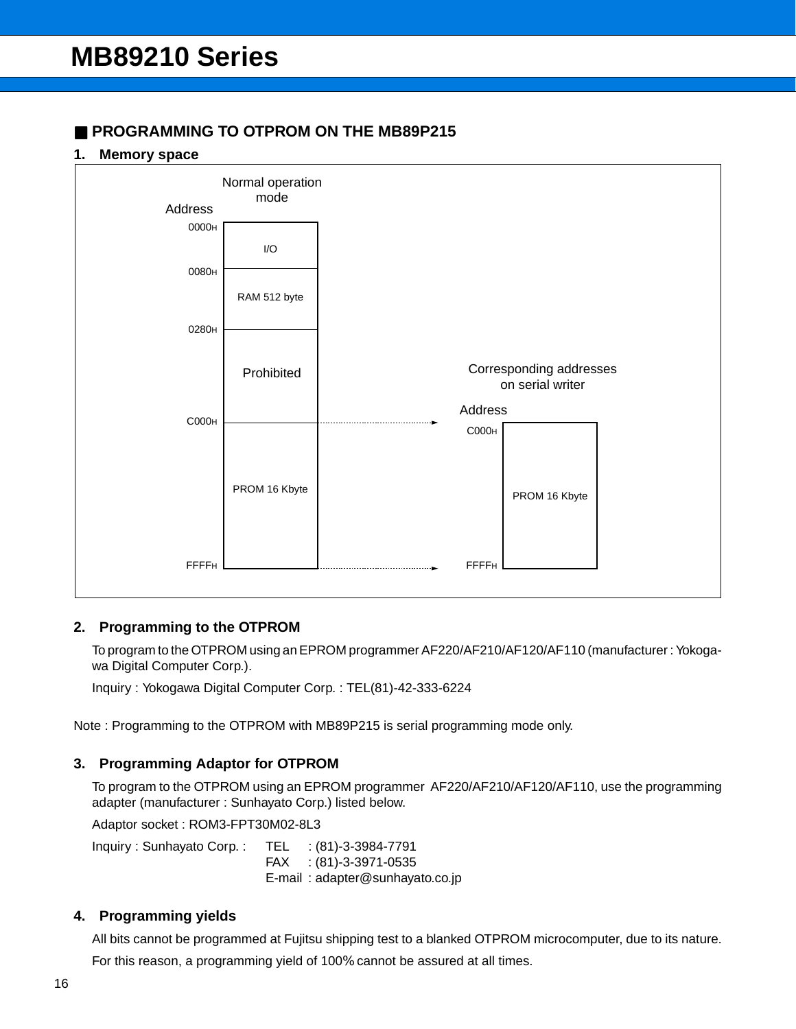## ■ **PROGRAMMING TO OTPROM ON THE MB89P215**

#### **1. Memory space**



#### **2. Programming to the OTPROM**

To program to the OTPROM using an EPROM programmer AF220/AF210/AF120/AF110 (manufacturer : Yokogawa Digital Computer Corp.).

Inquiry : Yokogawa Digital Computer Corp. : TEL(81)-42-333-6224

Note : Programming to the OTPROM with MB89P215 is serial programming mode only.

### **3. Programming Adaptor for OTPROM**

To program to the OTPROM using an EPROM programmer AF220/AF210/AF120/AF110, use the programming adapter (manufacturer : Sunhayato Corp.) listed below.

Adaptor socket : ROM3-FPT30M02-8L3

Inquiry : Sunhayato Corp. : TEL : (81)-3-3984-7791 FAX : (81)-3-3971-0535 E-mail : adapter@sunhayato.co.jp

#### **4. Programming yields**

All bits cannot be programmed at Fujitsu shipping test to a blanked OTPROM microcomputer, due to its nature. For this reason, a programming yield of 100% cannot be assured at all times.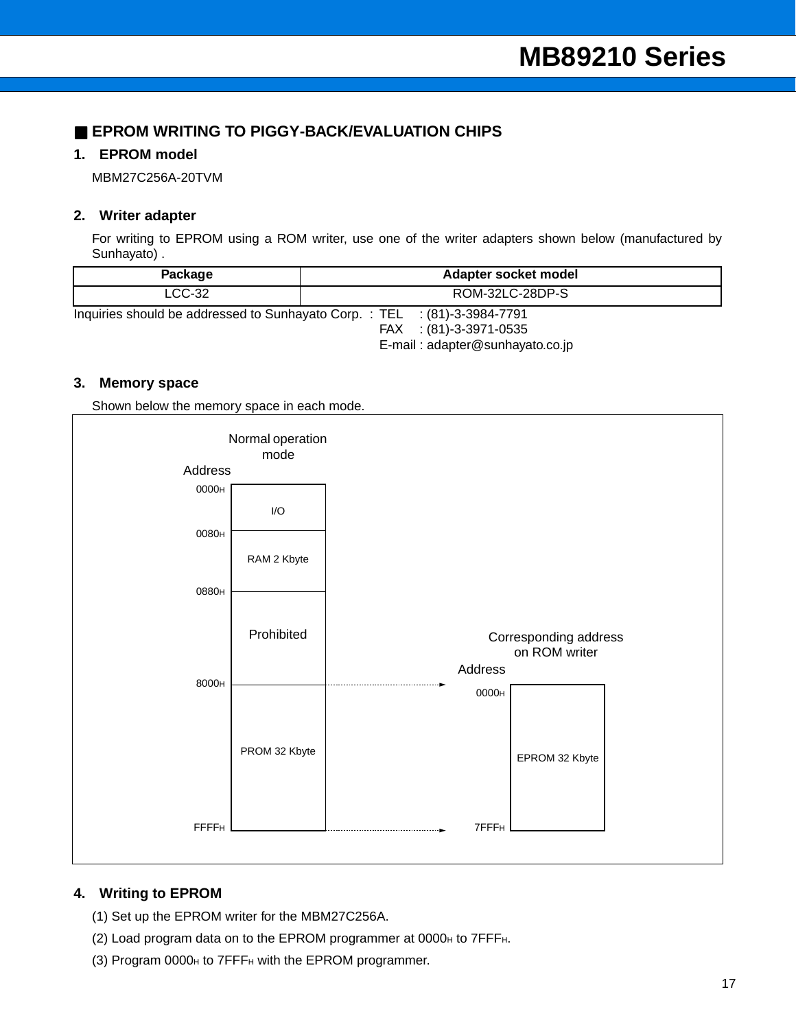## ■ **EPROM WRITING TO PIGGY-BACK/EVALUATION CHIPS**

### **1. EPROM model**

MBM27C256A-20TVM

#### **2. Writer adapter**

For writing to EPROM using a ROM writer, use one of the writer adapters shown below (manufactured by Sunhayato) .

| Package                                                                  | Adapter socket model |                 |  |
|--------------------------------------------------------------------------|----------------------|-----------------|--|
| $LCC-32$                                                                 |                      | ROM-32LC-28DP-S |  |
| Inquiries should be addressed to Sunhayato Corp.: TEL : (81)-3-3984-7791 |                      |                 |  |

FAX : (81)-3-3971-0535 E-mail : adapter@sunhayato.co.jp

#### **3. Memory space**

Shown below the memory space in each mode.



### **4. Writing to EPROM**

- (1) Set up the EPROM writer for the MBM27C256A.
- (2) Load program data on to the EPROM programmer at  $0000_H$  to  $7$ FFF $H$ .
- (3) Program 0000H to 7FFFH with the EPROM programmer.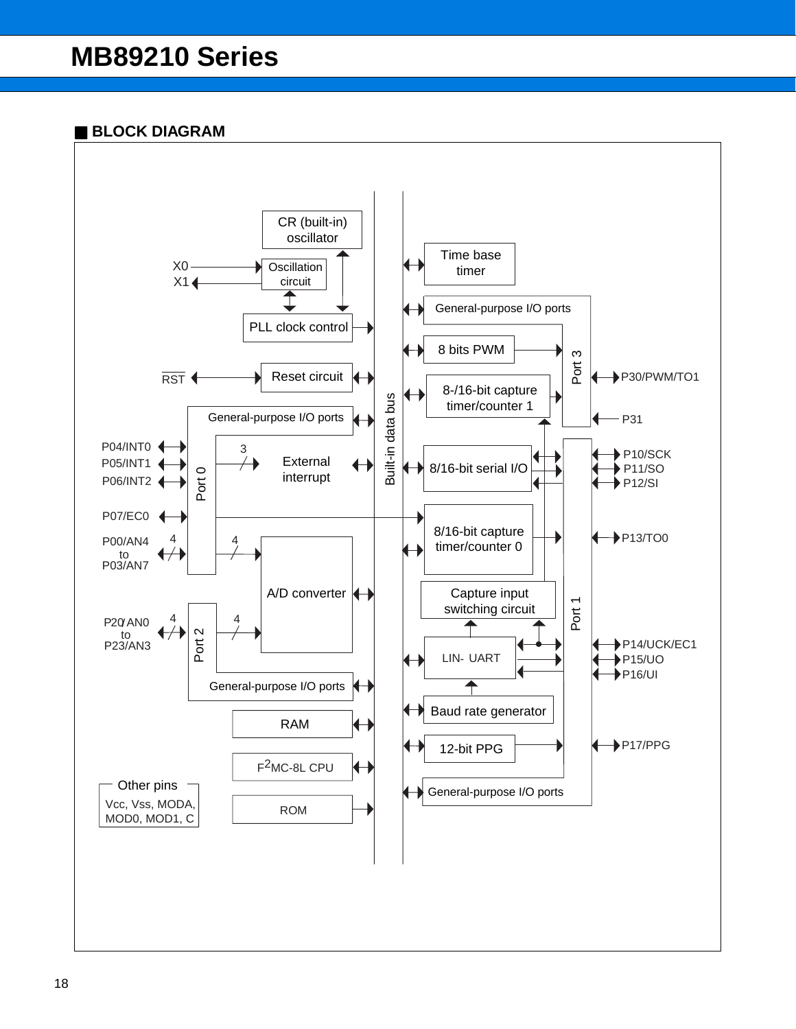## ■ **BLOCK DIAGRAM**

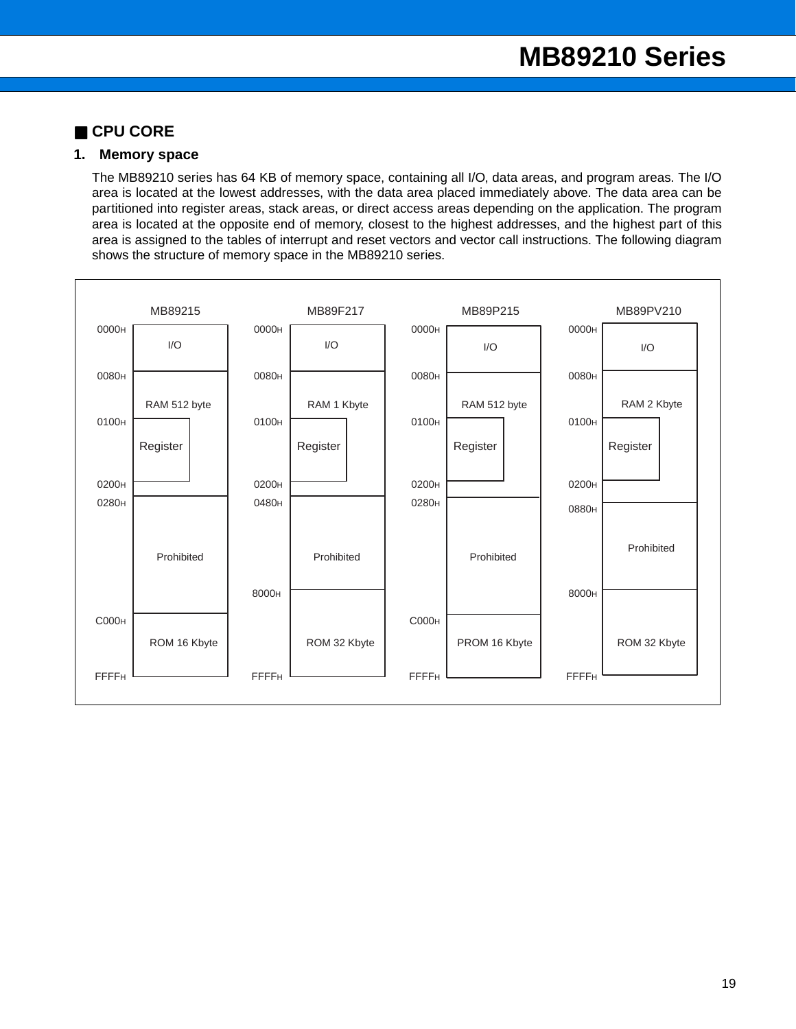## ■ **CPU CORE**

### **1. Memory space**

The MB89210 series has 64 KB of memory space, containing all I/O, data areas, and program areas. The I/O area is located at the lowest addresses, with the data area placed immediately above. The data area can be partitioned into register areas, stack areas, or direct access areas depending on the application. The program area is located at the opposite end of memory, closest to the highest addresses, and the highest part of this area is assigned to the tables of interrupt and reset vectors and vector call instructions. The following diagram shows the structure of memory space in the MB89210 series.

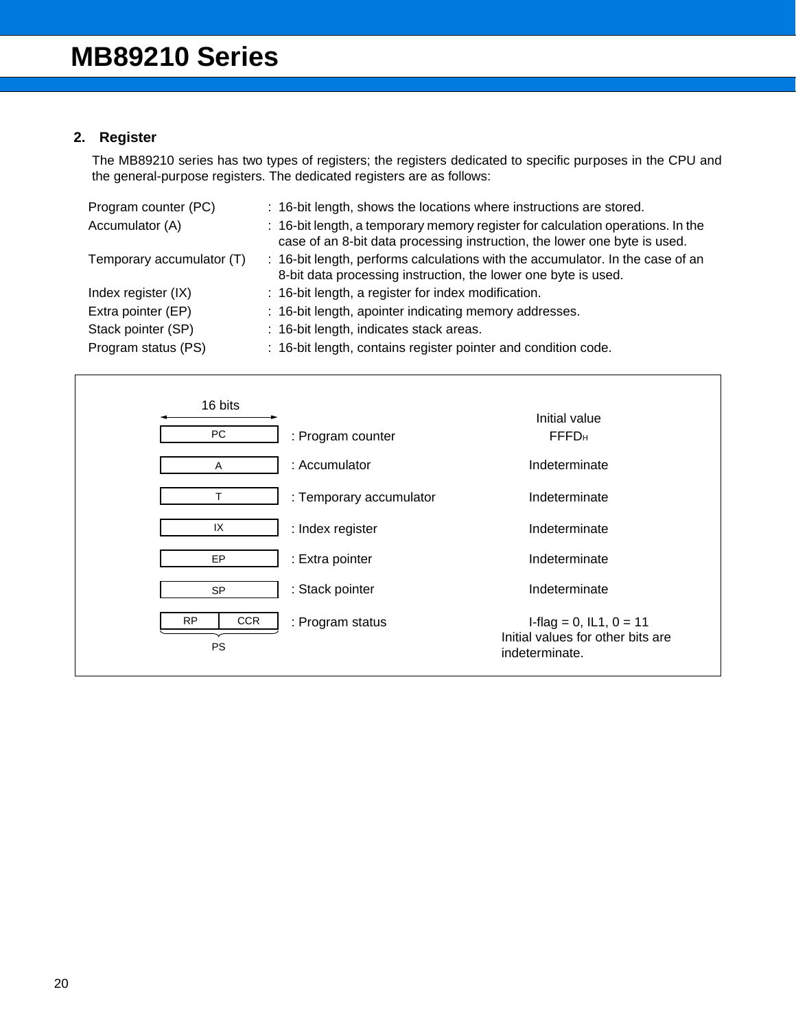## **2. Register**

The MB89210 series has two types of registers; the registers dedicated to specific purposes in the CPU and the general-purpose registers. The dedicated registers are as follows:

| Program counter (PC)      | : 16-bit length, shows the locations where instructions are stored.                                                                                          |
|---------------------------|--------------------------------------------------------------------------------------------------------------------------------------------------------------|
| Accumulator (A)           | : 16-bit length, a temporary memory register for calculation operations. In the<br>case of an 8-bit data processing instruction, the lower one byte is used. |
| Temporary accumulator (T) | : 16-bit length, performs calculations with the accumulator. In the case of an<br>8-bit data processing instruction, the lower one byte is used.             |
| Index register (IX)       | : 16-bit length, a register for index modification.                                                                                                          |
| Extra pointer (EP)        | : 16-bit length, apointer indicating memory addresses.                                                                                                       |
| Stack pointer (SP)        | : 16-bit length, indicates stack areas.                                                                                                                      |
| Program status (PS)       | : 16-bit length, contains register pointer and condition code.                                                                                               |

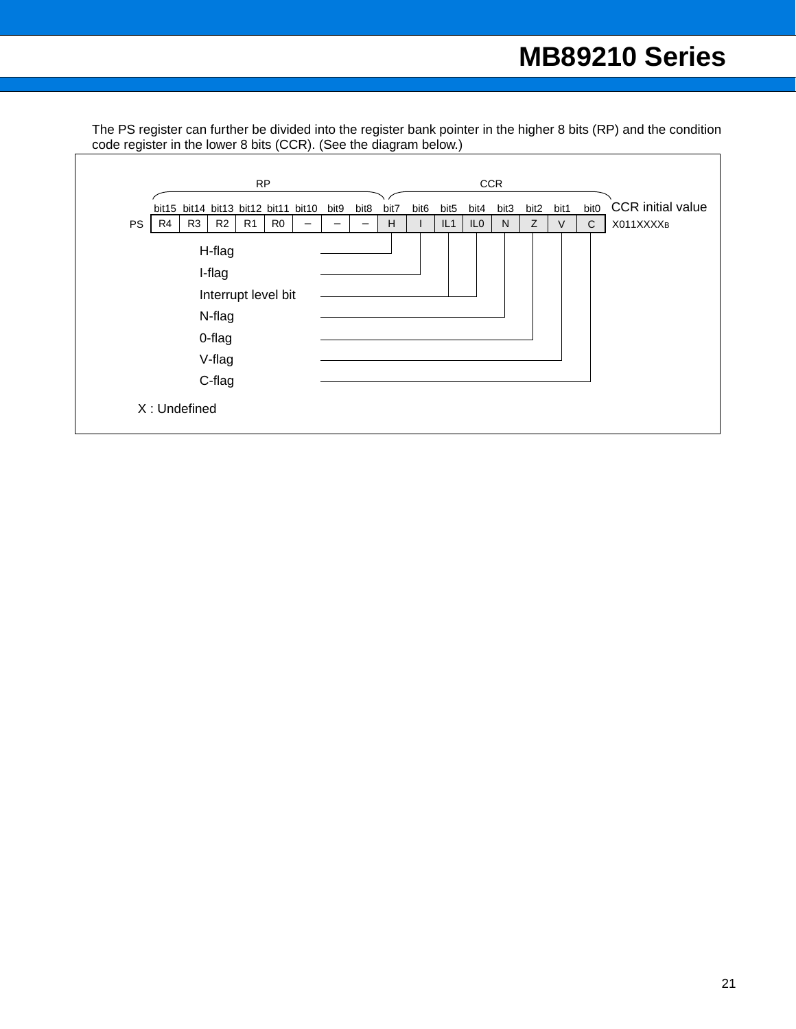The PS register can further be divided into the register bank pointer in the higher 8 bits (RP) and the condition code register in the lower 8 bits (CCR). (See the diagram below.)

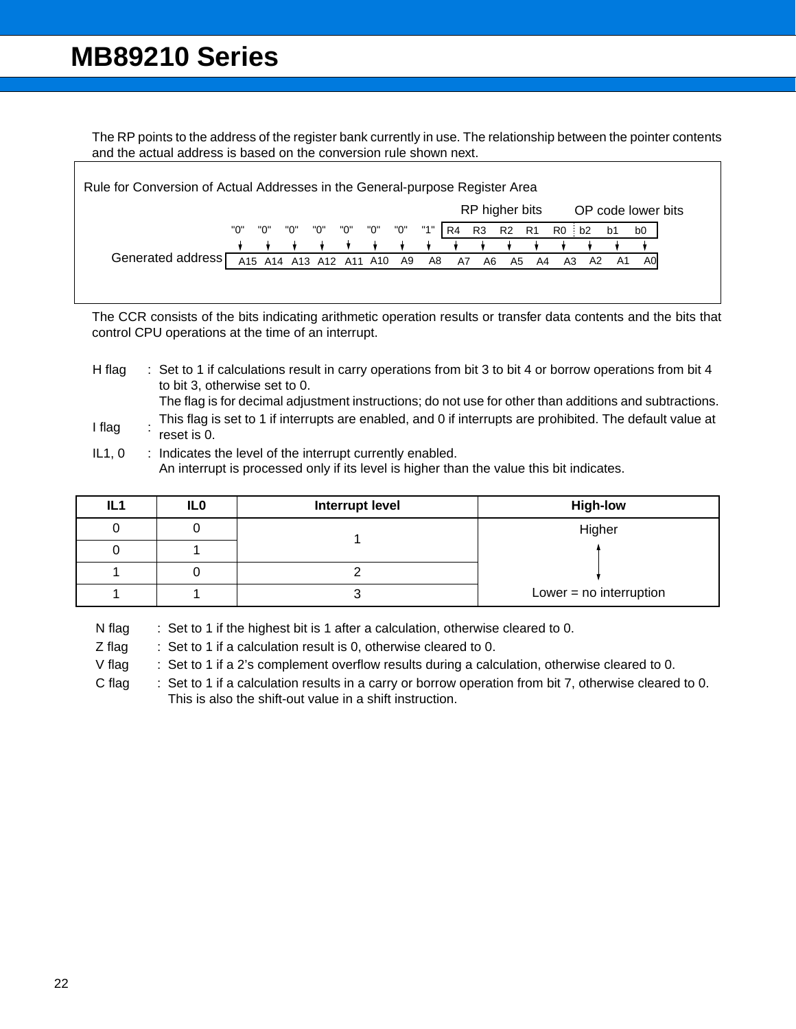The RP points to the address of the register bank currently in use. The relationship between the pointer contents and the actual address is based on the conversion rule shown next.

| Rule for Conversion of Actual Addresses in the General-purpose Register Area |     |     |                            |             |  |     |     |     |       |                |       |    |    |     |    |                    |
|------------------------------------------------------------------------------|-----|-----|----------------------------|-------------|--|-----|-----|-----|-------|----------------|-------|----|----|-----|----|--------------------|
|                                                                              |     |     |                            |             |  |     |     |     |       | RP higher bits |       |    |    |     |    | OP code lower bits |
|                                                                              | "0" | "0" | "O"                        | "0"     "0" |  | "0" | "0" | "1" | R4    | R3             | R2 R1 |    | R0 | ∶b2 | b1 | b0                 |
|                                                                              |     |     |                            |             |  |     |     |     |       |                |       |    |    |     |    |                    |
| Generated address [                                                          |     |     | A15 A14 A13 A12 A11 A10 A9 |             |  |     |     |     | A8 A7 | A6             | A5    | A4 | A3 | A2  | A1 | A0                 |
|                                                                              |     |     |                            |             |  |     |     |     |       |                |       |    |    |     |    |                    |
|                                                                              |     |     |                            |             |  |     |     |     |       |                |       |    |    |     |    |                    |

The CCR consists of the bits indicating arithmetic operation results or transfer data contents and the bits that control CPU operations at the time of an interrupt.

H flag : Set to 1 if calculations result in carry operations from bit 3 to bit 4 or borrow operations from bit 4 to bit 3, otherwise set to 0.

The flag is for decimal adjustment instructions; do not use for other than additions and subtractions.

- I flag : This flag is set to 1 if interrupts are enabled, and 0 if interrupts are prohibited. The default value at reset is 0.
- $IL1, 0$  : Indicates the level of the interrupt currently enabled. An interrupt is processed only if its level is higher than the value this bit indicates.

| IL <sub>1</sub> | IL <sub>0</sub> | <b>Interrupt level</b> | <b>High-low</b>           |  |  |  |
|-----------------|-----------------|------------------------|---------------------------|--|--|--|
|                 |                 |                        | Higher                    |  |  |  |
|                 |                 |                        |                           |  |  |  |
|                 |                 |                        |                           |  |  |  |
|                 |                 |                        | Lower = $no$ interruption |  |  |  |

N flag : Set to 1 if the highest bit is 1 after a calculation, otherwise cleared to 0.

Z flag : Set to 1 if a calculation result is 0, otherwise cleared to 0.

V flag : Set to 1 if a 2's complement overflow results during a calculation, otherwise cleared to 0.

C flag : Set to 1 if a calculation results in a carry or borrow operation from bit 7, otherwise cleared to 0. This is also the shift-out value in a shift instruction.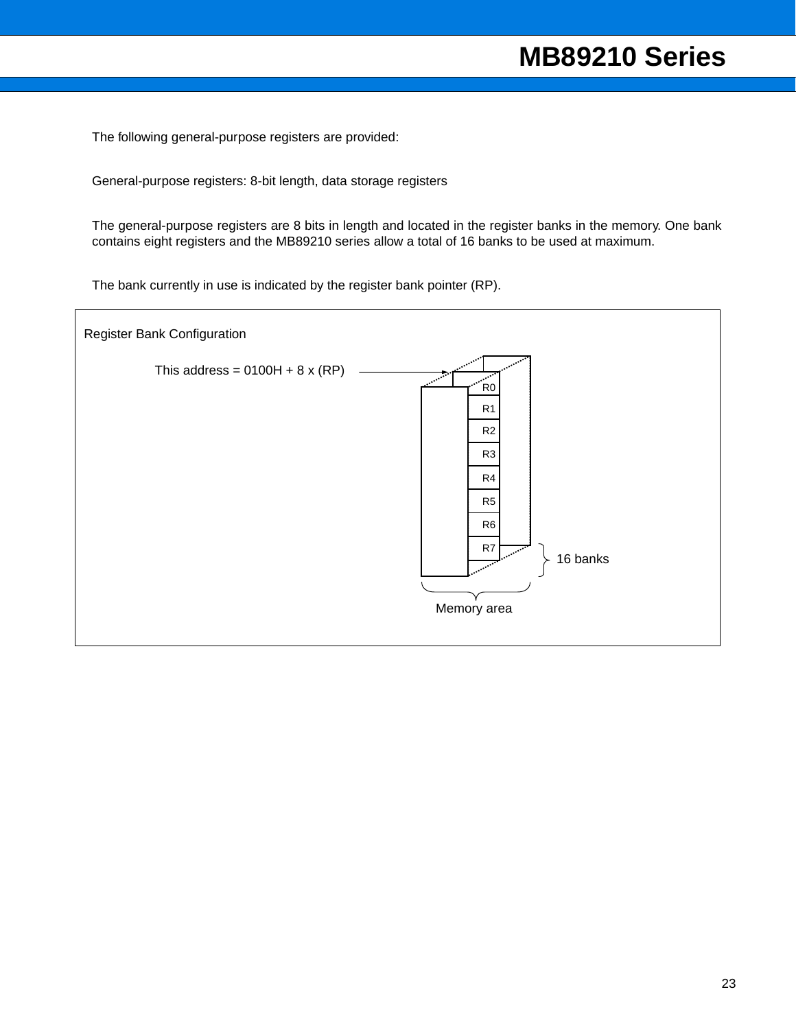The following general-purpose registers are provided:

General-purpose registers: 8-bit length, data storage registers

The general-purpose registers are 8 bits in length and located in the register banks in the memory. One bank contains eight registers and the MB89210 series allow a total of 16 banks to be used at maximum.

The bank currently in use is indicated by the register bank pointer (RP).

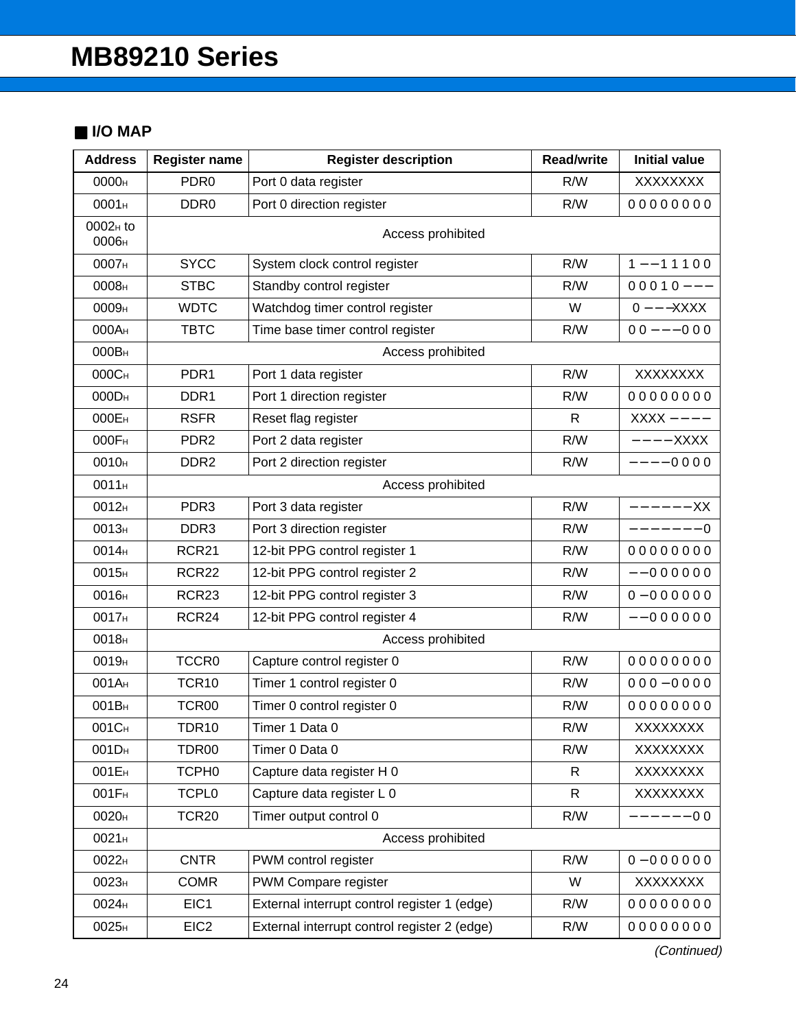## ■ **I/O MAP**

| <b>Address</b>                | <b>Register name</b> | <b>Register description</b>                  | <b>Read/write</b> | <b>Initial value</b> |  |  |  |  |  |  |
|-------------------------------|----------------------|----------------------------------------------|-------------------|----------------------|--|--|--|--|--|--|
| 0000 <sub>H</sub>             | PDR <sub>0</sub>     | Port 0 data register                         | R/W               | XXXXXXX              |  |  |  |  |  |  |
| 0001H                         | DDR <sub>0</sub>     | Port 0 direction register                    | R/W               | 00000000             |  |  |  |  |  |  |
| 0002 <sub>H</sub> to<br>0006н |                      | Access prohibited                            |                   |                      |  |  |  |  |  |  |
| 0007 <sub>H</sub>             | <b>SYCC</b>          | System clock control register                | R/W               | $1 - - 11100$        |  |  |  |  |  |  |
| 0008 <sub>H</sub>             | <b>STBC</b>          | Standby control register                     | R/W               | $00010--$            |  |  |  |  |  |  |
| 0009 <sub>H</sub>             | <b>WDTC</b>          | Watchdog timer control register              | W                 | $0$ - $ -$ XXXX      |  |  |  |  |  |  |
| 000A <sub>H</sub>             | <b>TBTC</b>          | Time base timer control register             | R/W               | $00 - -000$          |  |  |  |  |  |  |
| 000B <sub>H</sub>             |                      | Access prohibited                            |                   |                      |  |  |  |  |  |  |
| 000C <sub>H</sub>             | PDR <sub>1</sub>     | Port 1 data register                         | R/W               | <b>XXXXXXXX</b>      |  |  |  |  |  |  |
| 000D <sub>H</sub>             | DDR <sub>1</sub>     | Port 1 direction register                    | R/W               | 00000000             |  |  |  |  |  |  |
| 000EH                         | <b>RSFR</b>          | Reset flag register                          | $\mathsf{R}$      | $XXX - - - -$        |  |  |  |  |  |  |
| 000F <sub>H</sub>             | PDR <sub>2</sub>     | Port 2 data register                         | R/W               | $---XXX$             |  |  |  |  |  |  |
| 0010 <sub>H</sub>             | DDR <sub>2</sub>     | Port 2 direction register                    | R/W               | $---00000$           |  |  |  |  |  |  |
| 0011 <sub>H</sub>             | Access prohibited    |                                              |                   |                      |  |  |  |  |  |  |
| 0012 <sub>H</sub>             | PDR <sub>3</sub>     | Port 3 data register                         | R/W               | —<br>—————— XX       |  |  |  |  |  |  |
| 0013 <sub>H</sub>             | DDR <sub>3</sub>     | Port 3 direction register                    | R/W               | $------0$            |  |  |  |  |  |  |
| 0014 <sub>H</sub>             | <b>RCR21</b>         | 12-bit PPG control register 1                | R/W               | 00000000             |  |  |  |  |  |  |
| 0015 <sub>H</sub>             | <b>RCR22</b>         | 12-bit PPG control register 2                | R/W               | $--0000000$          |  |  |  |  |  |  |
| 0016н                         | RCR23                | 12-bit PPG control register 3                | R/W               | $0 - 000000$         |  |  |  |  |  |  |
| 0017 <sub>H</sub>             | <b>RCR24</b>         | 12-bit PPG control register 4                | R/W               | $--0000000$          |  |  |  |  |  |  |
| 0018 <sub>H</sub>             |                      | Access prohibited                            |                   |                      |  |  |  |  |  |  |
| 0019 <sub>H</sub>             | <b>TCCR0</b>         | Capture control register 0                   | R/W               | 00000000             |  |  |  |  |  |  |
| 001A <sub>H</sub>             | TCR10                | Timer 1 control register 0                   | R/W               | $000 - 0000$         |  |  |  |  |  |  |
| 001B <sub>H</sub>             | TCR00                | Timer 0 control register 0                   | R/W               | 00000000             |  |  |  |  |  |  |
| 001C <sub>H</sub>             | TDR10                | Timer 1 Data 0                               | R/W               | XXXXXXXX             |  |  |  |  |  |  |
| 001D <sub>H</sub>             | TDR00                | Timer 0 Data 0                               | R/W               | XXXXXXX              |  |  |  |  |  |  |
| 001E <sub>H</sub>             | TCPH <sub>0</sub>    | Capture data register H 0                    | $\mathsf{R}$      | XXXXXXX              |  |  |  |  |  |  |
| 001F <sub>H</sub>             | <b>TCPL0</b>         | Capture data register L 0                    | R                 | XXXXXXX              |  |  |  |  |  |  |
| 0020 <sub>H</sub>             | <b>TCR20</b>         | Timer output control 0                       | R/W               | $---00$              |  |  |  |  |  |  |
| 0021H                         |                      | Access prohibited                            |                   |                      |  |  |  |  |  |  |
| 0022 <sub>H</sub>             | <b>CNTR</b>          | PWM control register                         | R/W               | $0 - 000000$         |  |  |  |  |  |  |
| 0023 <sub>H</sub>             | <b>COMR</b>          | PWM Compare register                         | W                 | XXXXXXX              |  |  |  |  |  |  |
| 0024 <sub>H</sub>             | EIC1                 | External interrupt control register 1 (edge) | R/W               | 00000000             |  |  |  |  |  |  |
| 0025 <sub>H</sub>             | EIC <sub>2</sub>     | External interrupt control register 2 (edge) | R/W               | 00000000             |  |  |  |  |  |  |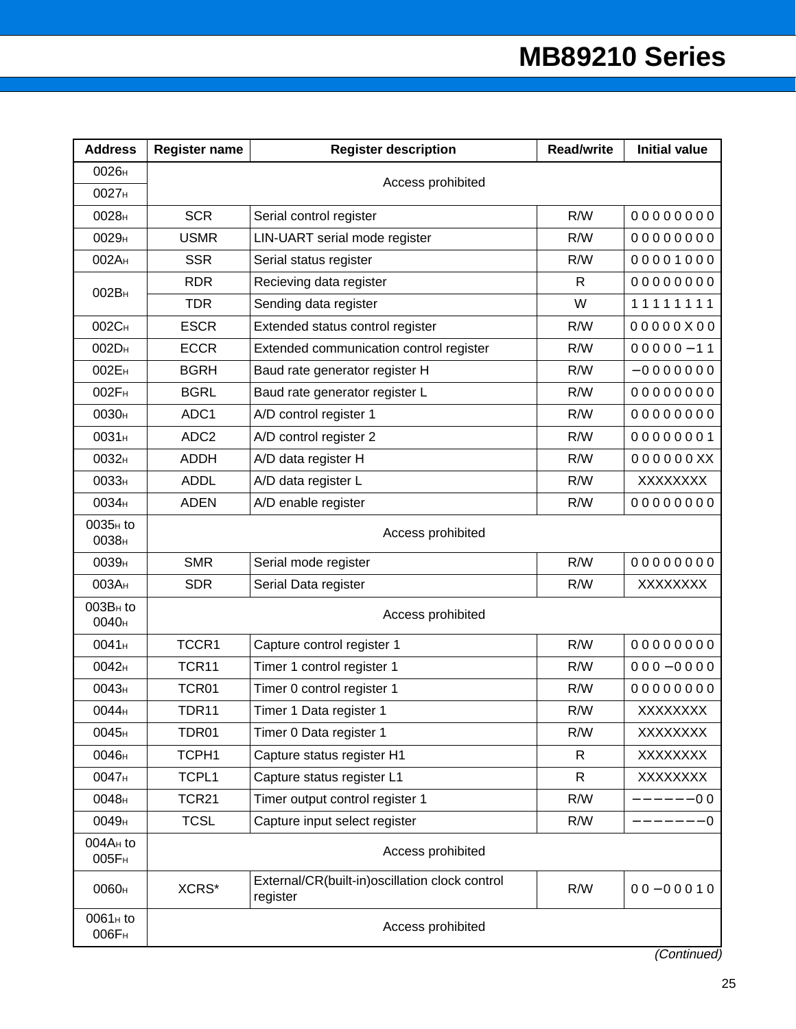| <b>Address</b>                            | <b>Register name</b> | <b>Register description</b>                                | <b>Read/write</b> | <b>Initial value</b> |  |  |  |  |
|-------------------------------------------|----------------------|------------------------------------------------------------|-------------------|----------------------|--|--|--|--|
| 0026 <sub>H</sub>                         |                      | Access prohibited                                          |                   |                      |  |  |  |  |
| 0027 <sub>H</sub>                         |                      |                                                            |                   |                      |  |  |  |  |
| 0028 <sub>H</sub>                         | <b>SCR</b>           | Serial control register                                    | R/W               | 00000000             |  |  |  |  |
| 0029 <sub>H</sub>                         | <b>USMR</b>          | LIN-UART serial mode register                              | R/W               | 00000000             |  |  |  |  |
| 002A <sub>H</sub>                         | <b>SSR</b>           | Serial status register                                     | R/W               | 00001000             |  |  |  |  |
| 002B <sub>H</sub>                         | <b>RDR</b>           | Recieving data register                                    | R                 | 00000000             |  |  |  |  |
|                                           | <b>TDR</b>           | Sending data register                                      | W                 | 11111111             |  |  |  |  |
| 002C <sub>H</sub>                         | <b>ESCR</b>          | Extended status control register                           | R/W               | 00000X00             |  |  |  |  |
| 002D <sub>H</sub>                         | <b>ECCR</b>          | Extended communication control register                    | R/W               | $00000 - 11$         |  |  |  |  |
| 002E <sub>H</sub>                         | <b>BGRH</b>          | Baud rate generator register H                             | R/W               | $-0000000$           |  |  |  |  |
| 002F <sub>H</sub>                         | <b>BGRL</b>          | Baud rate generator register L                             | R/W               | 00000000             |  |  |  |  |
| 0030 <sub>H</sub>                         | ADC1                 | A/D control register 1                                     | R/W               | 00000000             |  |  |  |  |
| 0031 <sub>H</sub>                         | ADC <sub>2</sub>     | A/D control register 2                                     | R/W               | 00000001             |  |  |  |  |
| 0032H                                     | <b>ADDH</b>          | A/D data register H                                        | R/W               | 000000XX             |  |  |  |  |
| 0033 <sub>H</sub>                         | <b>ADDL</b>          | A/D data register L                                        | R/W               | XXXXXXX              |  |  |  |  |
| 0034 <sub>H</sub>                         | <b>ADEN</b>          | A/D enable register                                        | R/W               | 00000000             |  |  |  |  |
| 0035 <sub>H</sub> to<br>0038 <sub>H</sub> | Access prohibited    |                                                            |                   |                      |  |  |  |  |
| 0039 <sub>H</sub>                         | <b>SMR</b>           | Serial mode register                                       | R/W               | 00000000             |  |  |  |  |
| 003A <sub>H</sub>                         | <b>SDR</b>           | Serial Data register                                       | R/W               | XXXXXXX              |  |  |  |  |
| 003B <sub>H</sub> to<br>0040 <sub>H</sub> |                      | Access prohibited                                          |                   |                      |  |  |  |  |
| 0041 <sub>H</sub>                         | TCCR1                | Capture control register 1                                 | R/W               | 00000000             |  |  |  |  |
| 0042 <sub>H</sub>                         | TCR11                | Timer 1 control register 1                                 | R/W               | $000 - 0000$         |  |  |  |  |
| 0043 <sub>H</sub>                         | TCR01                | Timer 0 control register 1                                 | R/W               | 00000000             |  |  |  |  |
| 0044 <sub>H</sub>                         | <b>TDR11</b>         | Timer 1 Data register 1                                    | R/W               | <b>XXXXXXXX</b>      |  |  |  |  |
| 0045 <sub>H</sub>                         | TDR01                | Timer 0 Data register 1                                    | R/W               | XXXXXXX              |  |  |  |  |
| 0046н                                     | TCPH1                | Capture status register H1                                 | R                 | XXXXXXX              |  |  |  |  |
| 0047 <sub>H</sub>                         | TCPL1                | Capture status register L1                                 | R                 | XXXXXXX              |  |  |  |  |
| 0048 <sub>H</sub>                         | <b>TCR21</b>         | Timer output control register 1                            | R/W               | $---00$              |  |  |  |  |
| 0049 <sub>H</sub>                         | <b>TCSL</b>          | Capture input select register                              | R/W               | -------<br>- 0       |  |  |  |  |
| 004A <sub>H</sub> to<br>005F <sub>H</sub> |                      | Access prohibited                                          |                   |                      |  |  |  |  |
| 0060 <sub>H</sub>                         | XCRS*                | External/CR(built-in)oscillation clock control<br>register | R/W               | $00 - 00010$         |  |  |  |  |
| 0061 <sub>H</sub> to<br>006F <sub>H</sub> | Access prohibited    |                                                            |                   |                      |  |  |  |  |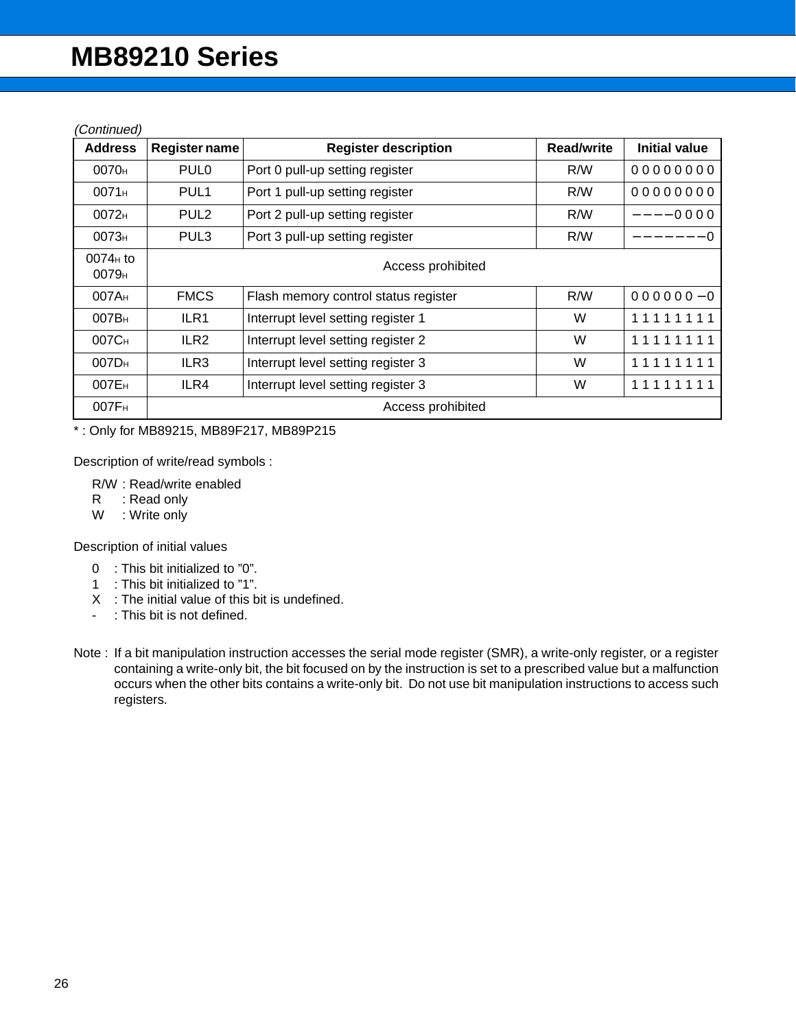(Continued)

| <b>Address</b>                  | <b>Register name</b> | <b>Register description</b>          | <b>Read/write</b> | <b>Initial value</b> |  |  |  |  |
|---------------------------------|----------------------|--------------------------------------|-------------------|----------------------|--|--|--|--|
| 0070 <sub>H</sub>               | PUL <sub>0</sub>     | Port 0 pull-up setting register      | R/W               | 00000000             |  |  |  |  |
| 0071H                           | PUL <sub>1</sub>     | Port 1 pull-up setting register      | R/W               | 00000000             |  |  |  |  |
| 0072 <sub>H</sub>               | PUL <sub>2</sub>     | Port 2 pull-up setting register      | R/W               | ----0000             |  |  |  |  |
| 0073 <sub>H</sub>               | PUL <sub>3</sub>     | Port 3 pull-up setting register      | R/W               | $--- 0$              |  |  |  |  |
| $0074H$ to<br>0079 <sub>H</sub> | Access prohibited    |                                      |                   |                      |  |  |  |  |
| 007A <sub>H</sub>               | <b>FMCS</b>          | Flash memory control status register | R/W               | $000000 - 0$         |  |  |  |  |
| 007B <sub>H</sub>               | ILR <sub>1</sub>     | Interrupt level setting register 1   | W                 | 11111111             |  |  |  |  |
| 007C <sub>H</sub>               | ILR <sub>2</sub>     | Interrupt level setting register 2   | W                 | 11111111             |  |  |  |  |
| 007D <sub>H</sub>               | ILR <sub>3</sub>     | Interrupt level setting register 3   | W                 | 11111111             |  |  |  |  |
| 007E <sub>H</sub>               | ILR4                 | Interrupt level setting register 3   | W                 | 11111111             |  |  |  |  |
| 007F <sub>H</sub>               |                      | Access prohibited                    |                   |                      |  |  |  |  |

\* : Only for MB89215, MB89F217, MB89P215

Description of write/read symbols :

R/W : Read/write enabled

- R : Read only
- W : Write only

Description of initial values

- 0 : This bit initialized to "0".
- 1 : This bit initialized to "1".
- X : The initial value of this bit is undefined.
- : This bit is not defined.
- Note : If a bit manipulation instruction accesses the serial mode register (SMR), a write-only register, or a register containing a write-only bit, the bit focused on by the instruction is set to a prescribed value but a malfunction occurs when the other bits contains a write-only bit. Do not use bit manipulation instructions to access such registers.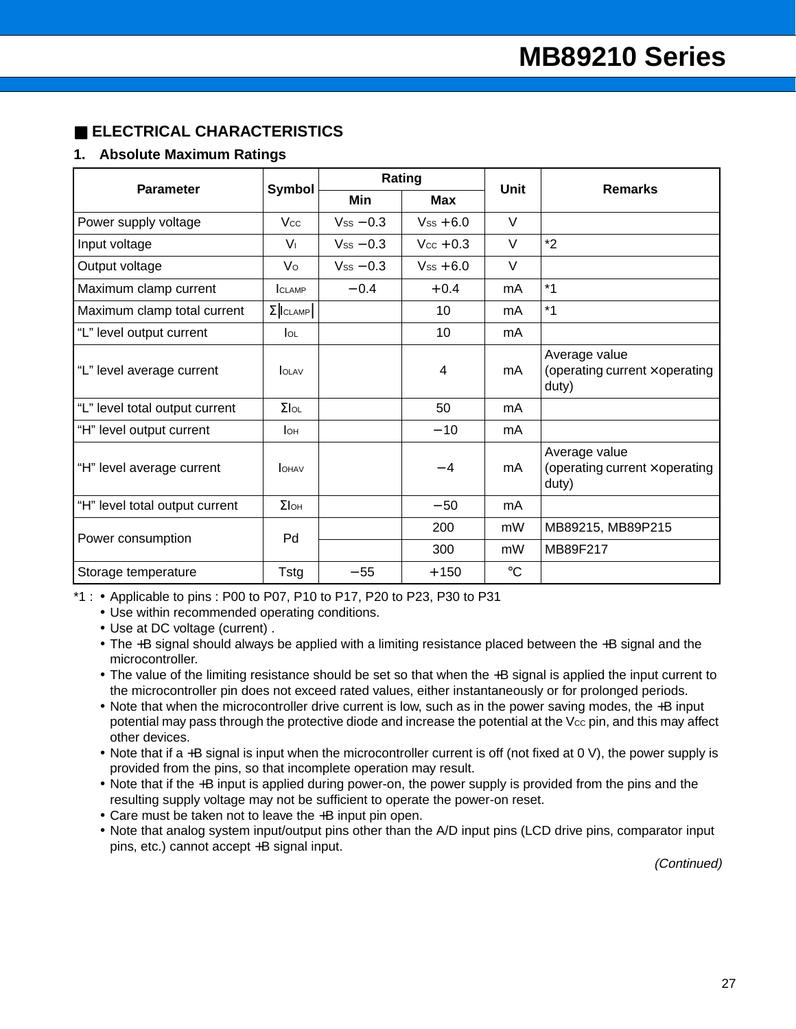## ■ **ELECTRICAL CHARACTERISTICS**

### **1. Absolute Maximum Ratings**

| <b>Parameter</b>               | <b>Symbol</b>    |                | Rating                | <b>Unit</b> | <b>Remarks</b>                                                  |  |
|--------------------------------|------------------|----------------|-----------------------|-------------|-----------------------------------------------------------------|--|
|                                |                  | Min            | <b>Max</b>            |             |                                                                 |  |
| Power supply voltage           | <b>Vcc</b>       | $V_{SS} - 0.3$ | $V_{SS}$ + 6.0        | $\vee$      |                                                                 |  |
| Input voltage                  | $V_{\perp}$      | $V_{SS} - 0.3$ | $V_{\text{CC}} + 0.3$ | $\vee$      | $*2$                                                            |  |
| Output voltage                 | Vo               | $V_{SS}$ – 0.3 | $V_{SS}$ + 6.0        | V           |                                                                 |  |
| Maximum clamp current          | CLAMP            | $-0.4$         | $+0.4$                | mA          | $*1$                                                            |  |
| Maximum clamp total current    | $\Sigma$   CLAMP |                | 10                    | mA          | $*1$                                                            |  |
| "L" level output current       | $I_{OL}$         |                | 10                    | mA          |                                                                 |  |
| "L" level average current      | <b>OLAV</b>      |                | 4                     | mA          | Average value<br>(operating current $\times$ operating<br>duty) |  |
| "L" level total output current | $\Sigma$ lol     |                | 50                    | mA          |                                                                 |  |
| "H" level output current       | Iон              |                | $-10$                 | mA          |                                                                 |  |
| "H" level average current      | <b>OHAV</b>      |                | $-4$                  | mA          | Average value<br>(operating current $\times$ operating<br>duty) |  |
| "H" level total output current | $\Sigma$ loh     |                | $-50$                 | mA          |                                                                 |  |
|                                | Pd               |                | 200                   | mW          | MB89215, MB89P215                                               |  |
| Power consumption              |                  |                | 300                   | mW          | MB89F217                                                        |  |
| Storage temperature            | Tstg             | $-55$          | $+150$                | $^{\circ}C$ |                                                                 |  |

\*1 : • Applicable to pins : P00 to P07, P10 to P17, P20 to P23, P30 to P31

• Use within recommended operating conditions.

• Use at DC voltage (current) .

- The +B signal should always be applied with a limiting resistance placed between the +B signal and the microcontroller.
- The value of the limiting resistance should be set so that when the +B signal is applied the input current to the microcontroller pin does not exceed rated values, either instantaneously or for prolonged periods.
- Note that when the microcontroller drive current is low, such as in the power saving modes, the +B input potential may pass through the protective diode and increase the potential at the V<sub>cc</sub> pin, and this may affect other devices.
- Note that if a +B signal is input when the microcontroller current is off (not fixed at 0 V), the power supply is provided from the pins, so that incomplete operation may result.
- Note that if the +B input is applied during power-on, the power supply is provided from the pins and the resulting supply voltage may not be sufficient to operate the power-on reset.
- Care must be taken not to leave the +B input pin open.
- Note that analog system input/output pins other than the A/D input pins (LCD drive pins, comparator input pins, etc.) cannot accept +B signal input.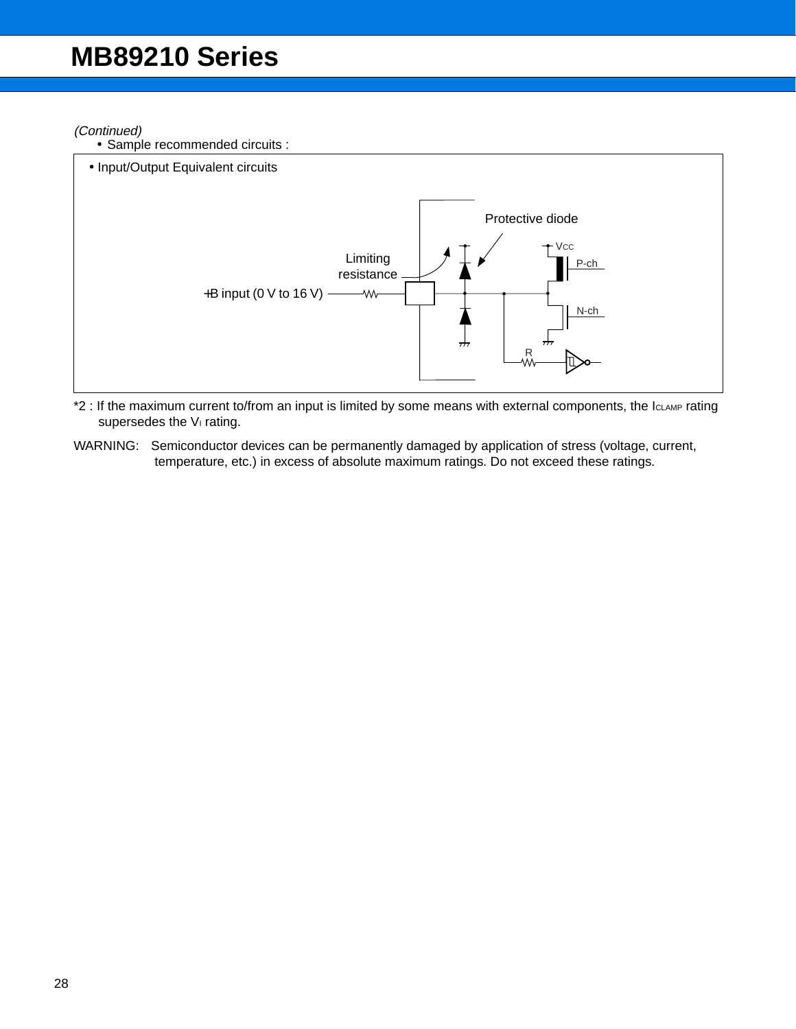#### (Continued)

• Sample recommended circuits :



- \*2 : If the maximum current to/from an input is limited by some means with external components, the IcLAMP rating supersedes the V<sub>I</sub> rating.
- WARNING: Semiconductor devices can be permanently damaged by application of stress (voltage, current, temperature, etc.) in excess of absolute maximum ratings. Do not exceed these ratings.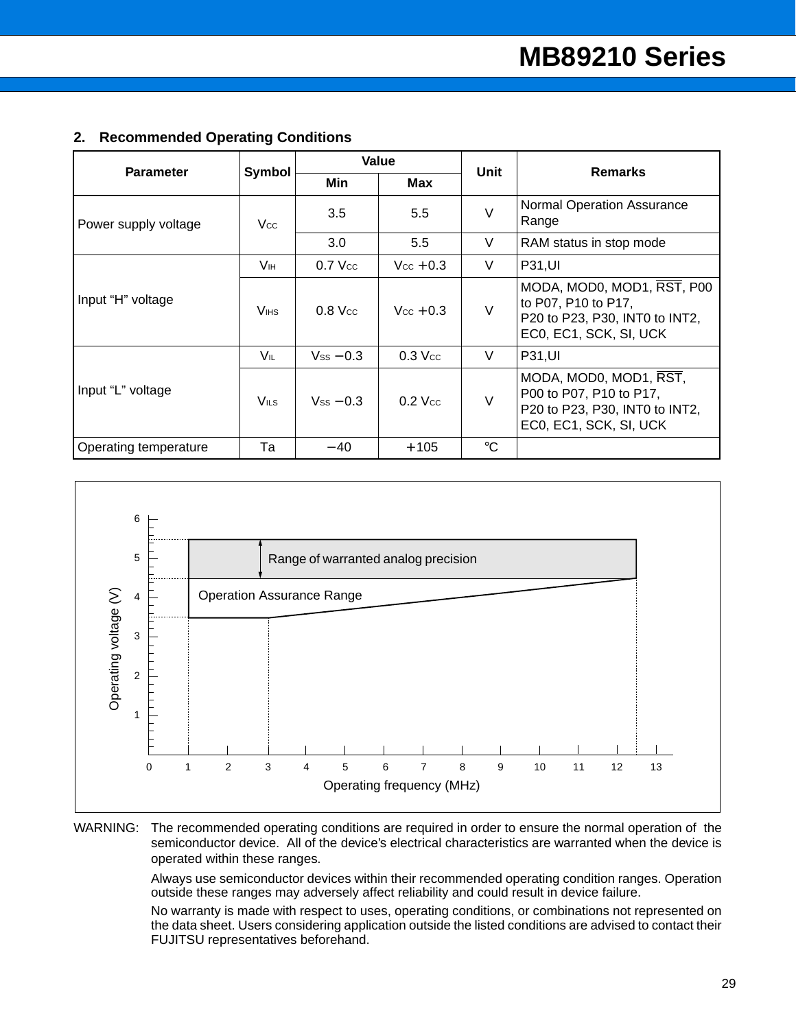| <b>Parameter</b>      | Symbol           |                | Value                 | Unit        | <b>Remarks</b>                                                                                                |  |
|-----------------------|------------------|----------------|-----------------------|-------------|---------------------------------------------------------------------------------------------------------------|--|
|                       |                  | Min            | Max                   |             |                                                                                                               |  |
| Power supply voltage  | Vcc              | 3.5            | 5.5                   | $\vee$      | Normal Operation Assurance<br>Range                                                                           |  |
|                       |                  | 3.0            | 5.5                   | V           | RAM status in stop mode                                                                                       |  |
| Input "H" voltage     | Vн               | $0.7$ Vcc      | $V_{\rm CC}$ + 0.3    | V           | <b>P31,UI</b>                                                                                                 |  |
|                       | V <sub>IHS</sub> | $0.8$ Vcc      | $V_{\text{CC}} + 0.3$ | $\vee$      | MODA, MOD0, MOD1, RST, P00<br>to P07, P10 to P17,<br>P20 to P23, P30, INT0 to INT2,<br>EC0, EC1, SCK, SI, UCK |  |
|                       | V⊩               | $V_{SS}$ – 0.3 | $0.3$ Vcc             | V           | <b>P31,UI</b>                                                                                                 |  |
| Input "L" voltage     | $V_{ILS}$        | $V_{SS}$ – 0.3 | $0.2$ Vcc             | V           | MODA, MOD0, MOD1, RST,<br>P00 to P07, P10 to P17,<br>P20 to P23, P30, INT0 to INT2,<br>EC0, EC1, SCK, SI, UCK |  |
| Operating temperature | Та               | $-40$          | $+105$                | $^{\circ}C$ |                                                                                                               |  |

### **2. Recommended Operating Conditions**



#### WARNING: The recommended operating conditions are required in order to ensure the normal operation of the semiconductor device. All of the device's electrical characteristics are warranted when the device is operated within these ranges.

Always use semiconductor devices within their recommended operating condition ranges. Operation outside these ranges may adversely affect reliability and could result in device failure.

No warranty is made with respect to uses, operating conditions, or combinations not represented on the data sheet. Users considering application outside the listed conditions are advised to contact their FUJITSU representatives beforehand.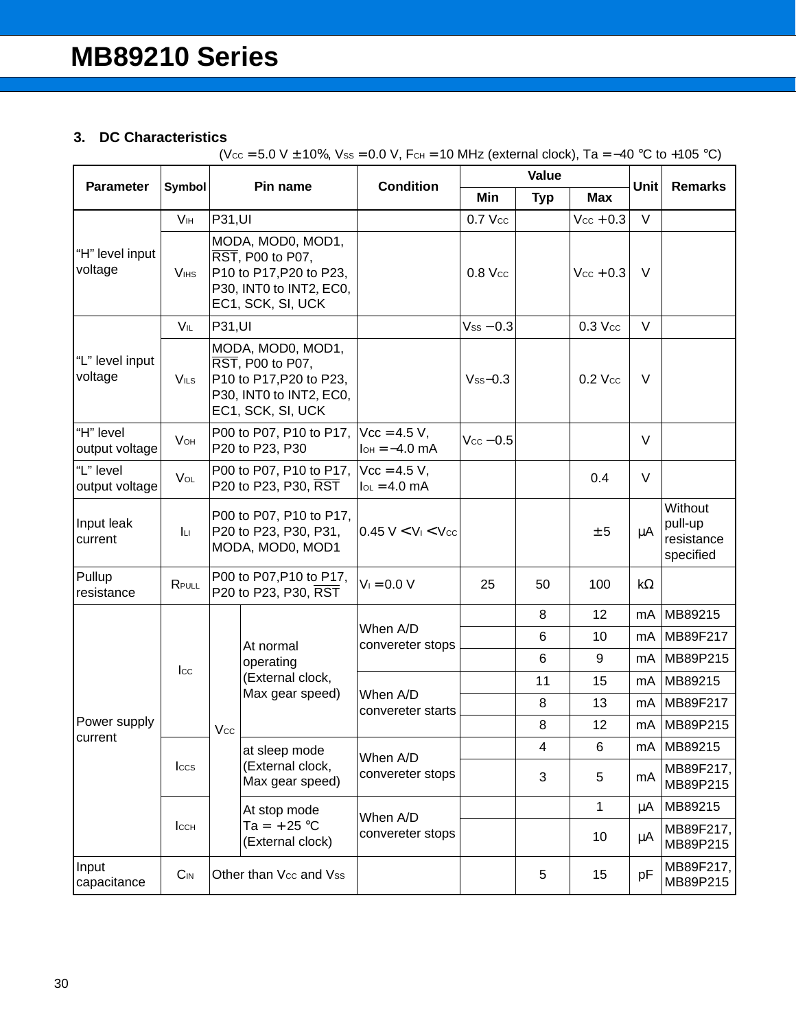## **3. DC Characteristics**

 $(Vec = 5.0 V ± 10%, Vss = 0.0 V, FcH = 10 MHz (external clock), Ta = -40 °C to +105 °C)$ 

| <b>Parameter</b>                               | Symbol                 | Pin name                                                                                                         |                                                                                                                  | <b>Condition</b>                     |                       | Value           |                       | Unit      | <b>Remarks</b>                                |   |  |
|------------------------------------------------|------------------------|------------------------------------------------------------------------------------------------------------------|------------------------------------------------------------------------------------------------------------------|--------------------------------------|-----------------------|-----------------|-----------------------|-----------|-----------------------------------------------|---|--|
|                                                |                        |                                                                                                                  |                                                                                                                  |                                      | Min                   | <b>Typ</b>      | <b>Max</b>            |           |                                               |   |  |
|                                                | V <sub>IH</sub>        | P31, UI                                                                                                          |                                                                                                                  |                                      | $0.7$ Vcc             | $\qquad \qquad$ | $V_{\text{CC}} + 0.3$ | $\vee$    |                                               |   |  |
| "H" level input<br>voltage<br>V <sub>IHS</sub> |                        |                                                                                                                  | MODA, MOD0, MOD1,<br>RST, P00 to P07,<br>P10 to P17, P20 to P23,<br>P30, INT0 to INT2, EC0,<br>EC1, SCK, SI, UCK |                                      | $0.8$ Vcc             |                 | $Vcc + 0.3$           | V         |                                               |   |  |
|                                                | VIL                    | P31, UI                                                                                                          |                                                                                                                  |                                      | $V_{SS} - 0.3$        |                 | $0.3$ Vcc             | V         |                                               |   |  |
| "L" level input<br>voltage                     | $V_{ILS}$              | MODA, MOD0, MOD1,<br>RST, P00 to P07,<br>P10 to P17, P20 to P23,<br>P30, INT0 to INT2, EC0,<br>EC1, SCK, SI, UCK |                                                                                                                  |                                      |                       |                 | $Vss - 0.3$           |           | $0.2$ Vcc                                     | V |  |
| "H" level<br>output voltage                    | <b>V</b> <sub>OH</sub> |                                                                                                                  | P00 to P07, P10 to P17,<br>P20 to P23, P30                                                                       | $Vcc = 4.5 V,$<br>$I_{OH} = -4.0$ mA | $V_{\text{CC}} - 0.5$ |                 |                       | $\vee$    |                                               |   |  |
| "L" level<br>output voltage                    | $V_{OL}$               | P00 to P07, P10 to P17,<br>P20 to P23, P30, RST                                                                  |                                                                                                                  | $Vcc = 4.5 V,$<br>$I_{OL} = 4.0$ mA  |                       |                 | 0.4                   | V         |                                               |   |  |
| Input leak<br>current                          | Iц                     | P00 to P07, P10 to P17,<br>P20 to P23, P30, P31,<br>MODA, MOD0, MOD1                                             |                                                                                                                  | $0.45 V < V_1 < V_{CC}$              |                       |                 | ± 5                   | $\mu$ A   | Without<br>pull-up<br>resistance<br>specified |   |  |
| Pullup<br>resistance                           | RPULL                  |                                                                                                                  | P00 to P07, P10 to P17,<br>P20 to P23, P30, RST                                                                  | $V_1 = 0.0 V$                        | 25                    | 50              | 100                   | $k\Omega$ |                                               |   |  |
|                                                |                        |                                                                                                                  |                                                                                                                  |                                      |                       | 8               | 12                    | mA        | MB89215                                       |   |  |
|                                                |                        |                                                                                                                  | At normal                                                                                                        | When A/D<br>convereter stops         |                       | 6               | 10                    | mA        | MB89F217                                      |   |  |
|                                                | $_{\text{Lcc}}$        |                                                                                                                  | operating                                                                                                        |                                      |                       | 6               | 9                     | mA        | MB89P215                                      |   |  |
|                                                |                        |                                                                                                                  | (External clock,<br>Max gear speed)                                                                              |                                      |                       | 11              | 15                    | mA        | MB89215                                       |   |  |
|                                                |                        |                                                                                                                  |                                                                                                                  | When A/D<br>convereter starts        |                       | 8               | 13                    | mA        | MB89F217                                      |   |  |
| Power supply<br>current                        |                        | Vcc                                                                                                              |                                                                                                                  |                                      |                       | 8               | 12                    | mA        | MB89P215                                      |   |  |
|                                                |                        |                                                                                                                  | at sleep mode                                                                                                    | When A/D                             |                       | 4               | 6                     | mA        | MB89215                                       |   |  |
|                                                | <b>Iccs</b>            |                                                                                                                  | (External clock,<br>Max gear speed)                                                                              | convereter stops                     |                       | 3               | 5                     | mA        | MB89F217,<br>MB89P215                         |   |  |
|                                                |                        |                                                                                                                  | At stop mode                                                                                                     | When A/D                             |                       |                 | 1                     | $\mu$ A   | MB89215                                       |   |  |
|                                                | <b>I</b> CCH           |                                                                                                                  | $Ta = +25 °C$<br>(External clock)                                                                                | convereter stops                     |                       |                 | 10                    | μA        | MB89F217,<br>MB89P215                         |   |  |
| Input<br>capacitance                           | $C_{IN}$               |                                                                                                                  | Other than Vcc and Vss                                                                                           |                                      |                       | 5               | 15                    | pF        | MB89F217,<br>MB89P215                         |   |  |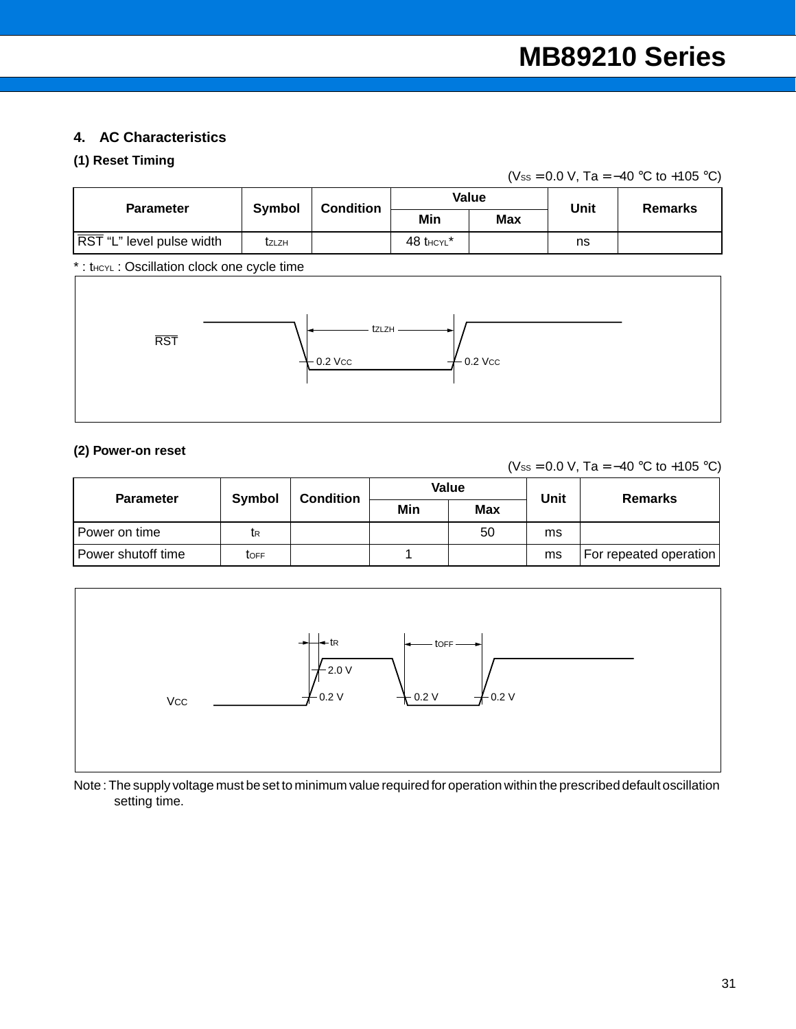## **4. AC Characteristics**

## **(1) Reset Timing**

(Vss = 0.0 V, Ta =  $-40$  °C to +105 °C)

| <b>Parameter</b>                           | <b>Symbol</b> | <b>Condition</b>    |                         | Value      | <b>Unit</b> | <b>Remarks</b> |  |
|--------------------------------------------|---------------|---------------------|-------------------------|------------|-------------|----------------|--|
|                                            |               |                     | Min                     | <b>Max</b> |             |                |  |
| RST "L" level pulse width                  | tzlzh         |                     | $48$ thcyl <sup>*</sup> |            | ns          |                |  |
| *: theyL: Oscillation clock one cycle time |               |                     |                         |            |             |                |  |
| <b>RST</b>                                 |               | tzlzh<br>$-0.2$ Vcc |                         | $0.2$ Vcc  |             |                |  |

#### **(2) Power-on reset**

(Vss = 0.0 V, Ta =  $-40$  °C to +105 °C)

| <b>Parameter</b>   | Symbol | <b>Condition</b> |     | Value      | Unit | <b>Remarks</b>         |
|--------------------|--------|------------------|-----|------------|------|------------------------|
|                    |        |                  | Min | <b>Max</b> |      |                        |
| l Power on time    | tκ     |                  |     | 50         | ms   |                        |
| Power shutoff time | toff   |                  |     |            | ms   | For repeated operation |



Note : The supply voltage must be set to minimum value required for operation within the prescribed default oscillation setting time.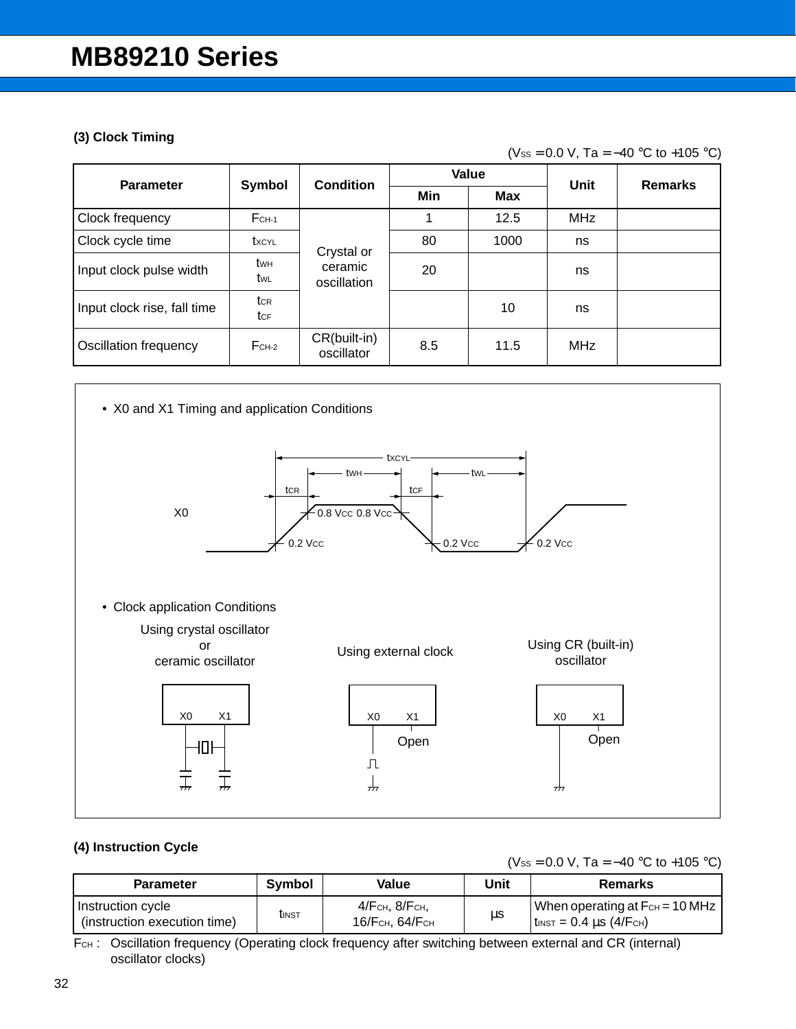### **(3) Clock Timing**

(Vss = 0.0 V, Ta =  $-40$  °C to +105 °C)

| <b>Parameter</b>             | Symbol             | <b>Condition</b>           |     | Value | Unit       | <b>Remarks</b> |
|------------------------------|--------------------|----------------------------|-----|-------|------------|----------------|
|                              |                    |                            | Min | Max   |            |                |
| Clock frequency              | $FCH-1$            |                            |     | 12.5  | <b>MHz</b> |                |
| Clock cycle time             | txcyl              | Crystal or                 | 80  | 1000  | ns         |                |
| Input clock pulse width      | <b>t</b> wh<br>tw∟ | ceramic<br>oscillation     | 20  |       | ns         |                |
| Input clock rise, fall time  | tcr<br>tcF         |                            |     | 10    | ns         |                |
| <b>Oscillation frequency</b> | $FCH-2$            | CR(built-in)<br>oscillator | 8.5 | 11.5  | <b>MHz</b> |                |



### **(4) Instruction Cycle**

(Vss = 0.0 V, Ta =  $-40$  °C to +105 °C)

| <b>Parameter</b>                                  | Symbol        | Value                               | Unit | <b>Remarks</b>                                                       |
|---------------------------------------------------|---------------|-------------------------------------|------|----------------------------------------------------------------------|
| Instruction cycle<br>(instruction execution time) | <b>t</b> INST | 4/ Гсн, 8/ Гсн,<br>16/ Гсн, 64/ Гсн | μs   | When operating at $F_{CH} = 10 MHz$<br>$\tanctan 10.4 \mu s$ (4/FcH) |

FCH: Oscillation frequency (Operating clock frequency after switching between external and CR (internal) oscillator clocks)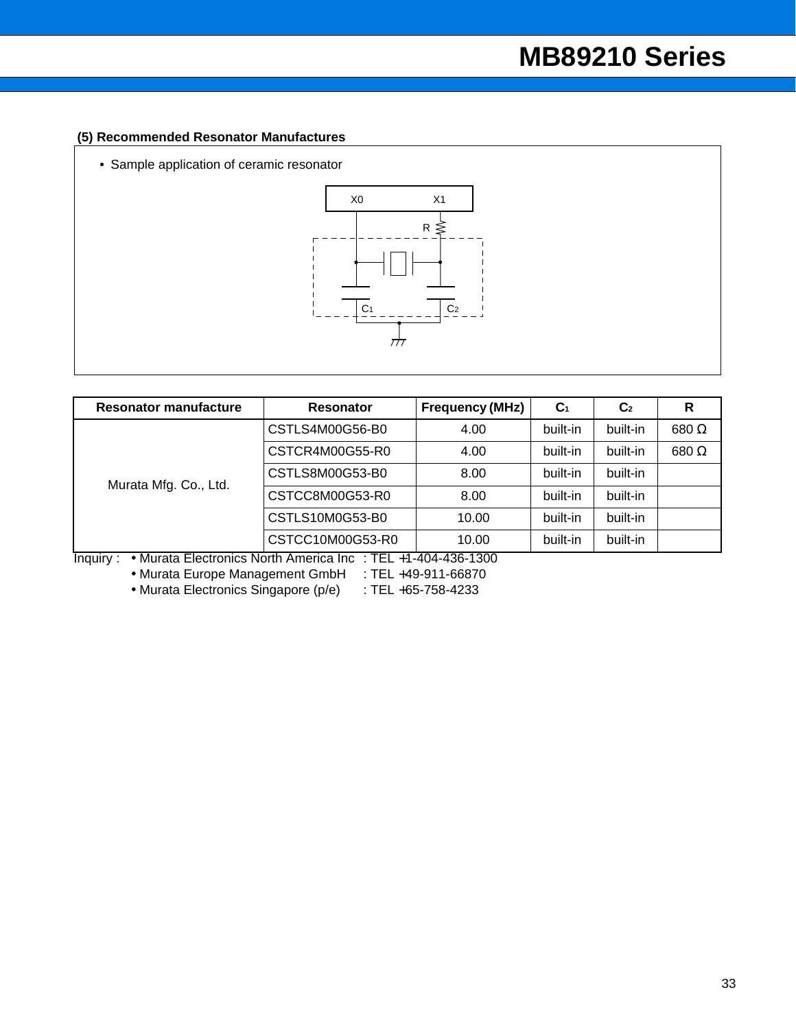### **(5) Recommended Resonator Manufactures**

• Sample application of ceramic resonator



| <b>Resonator manufacture</b> | <b>Resonator</b>                                              | <b>Frequency (MHz)</b> | C <sub>1</sub> | C <sub>2</sub> | R             |
|------------------------------|---------------------------------------------------------------|------------------------|----------------|----------------|---------------|
|                              | CSTLS4M00G56-B0<br>4.00                                       |                        | built-in       | built-in       | 680 $\Omega$  |
| Murata Mfg. Co., Ltd.        | CSTCR4M00G55-R0                                               | 4.00                   | built-in       | built-in       | $680\ \Omega$ |
|                              | CSTLS8M00G53-B0                                               | 8.00                   | built-in       | built-in       |               |
|                              | CSTCC8M00G53-R0                                               | 8.00                   | built-in       | built-in       |               |
|                              | CSTLS10M0G53-B0                                               | 10.00                  | built-in       | built-in       |               |
|                              | CSTCC10M00G53-R0                                              | 10.00                  | built-in       | built-in       |               |
| $In$ nin $\nu$ :             | • Murata Electronics North America Inc. $TFI +1-404-436-1300$ |                        |                |                |               |

Inquiry : • Murata Electronics North America Inc : TEL +1-404-436-1300

• Murata Europe Management GmbH : TEL +49-911-66870

• Murata Electronics Singapore (p/e) : TEL +65-758-4233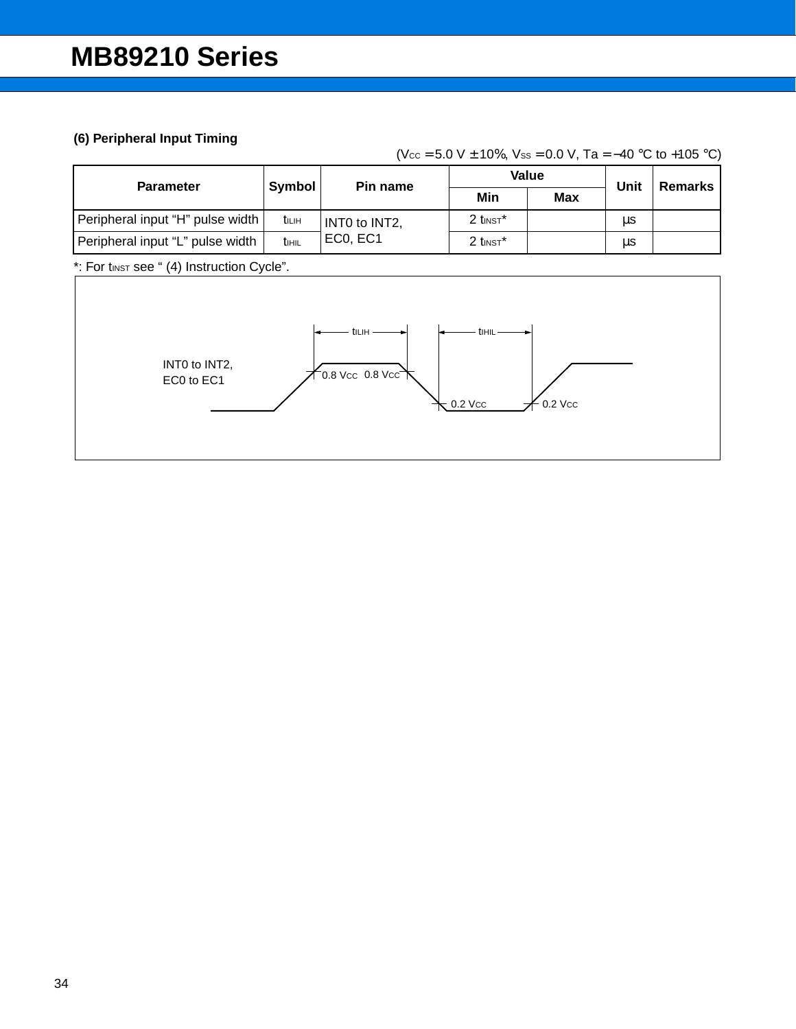## **(6) Peripheral Input Timing**

(Vcc =  $5.0 V \pm 10\%$ , Vss = 0.0 V, Ta =  $-40 °C$  to +105 °C)

| <b>Parameter</b>                 | Symbol                   | Pin name      |                        | Value      | Unit | Remarks |
|----------------------------------|--------------------------|---------------|------------------------|------------|------|---------|
|                                  |                          |               | Min                    | <b>Max</b> |      |         |
| Peripheral input "H" pulse width | tilih                    | INTO to INT2, | $2$ tinst <sup>*</sup> |            | μs   |         |
| Peripheral input "L" pulse width | <b>t</b> <sub>IHIL</sub> | EC0, EC1      | $2$ tinst <sup>*</sup> |            | μs   |         |

\*: For tinst see " (4) Instruction Cycle".

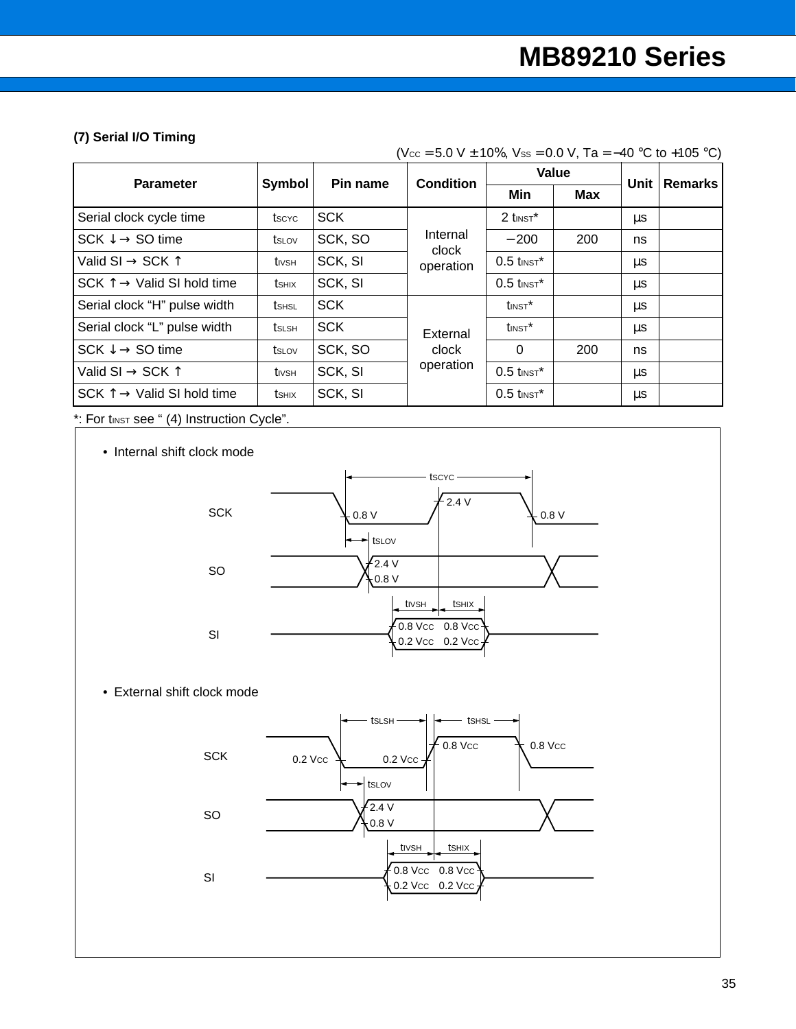### **(7) Serial I/O Timing**

|  | (Vcc = 5.0 V $\pm$ 10%, Vss = 0.0 V, Ta = -40 °C to +105 °C) |  |
|--|--------------------------------------------------------------|--|
|--|--------------------------------------------------------------|--|

| Symbol<br>Pin name<br><b>Parameter</b>        |               | <b>Condition</b> |                   | Value                    | Unit |    |                |
|-----------------------------------------------|---------------|------------------|-------------------|--------------------------|------|----|----------------|
|                                               |               |                  |                   | Min                      | Max  |    | <b>Remarks</b> |
| Serial clock cycle time                       | tscyc         | <b>SCK</b>       |                   | $2$ tinst <sup>*</sup>   |      | μs |                |
| $SCK \downarrow \rightarrow SO$ time          | tslov         | SCK, SO          | Internal<br>clock | $-200$                   | 200  | ns |                |
| Valid SI $\rightarrow$ SCK $\uparrow$         | tivsh         | SCK, SI          | operation         | $0.5$ tinst*             |      | μs |                |
| SCK $\uparrow \rightarrow$ Valid SI hold time | <b>t</b> shix | SCK, SI          |                   | $0.5$ tinst <sup>*</sup> |      | μs |                |
| Serial clock "H" pulse width                  | <b>t</b> shsl | <b>SCK</b>       |                   | $t_{INST}$ *             |      | μs |                |
| Serial clock "L" pulse width                  | tslsh         | <b>SCK</b>       | External          | $t$ INST $^*$            |      | μs |                |
| $SCK \downarrow \rightarrow SO$ time          | tslov         | SCK, SO          | clock             | $\Omega$                 | 200  | ns |                |
| Valid SI $\rightarrow$ SCK $\uparrow$         | $t_{IVSH}$    | SCK, SI          | operation         | $0.5$ tinst <sup>*</sup> |      | μs |                |
| $SCK \uparrow \rightarrow$ Valid SI hold time | tshix         | SCK, SI          |                   | $0.5$ tinst <sup>*</sup> |      | μs |                |

\*: For tINST see " (4) Instruction Cycle".

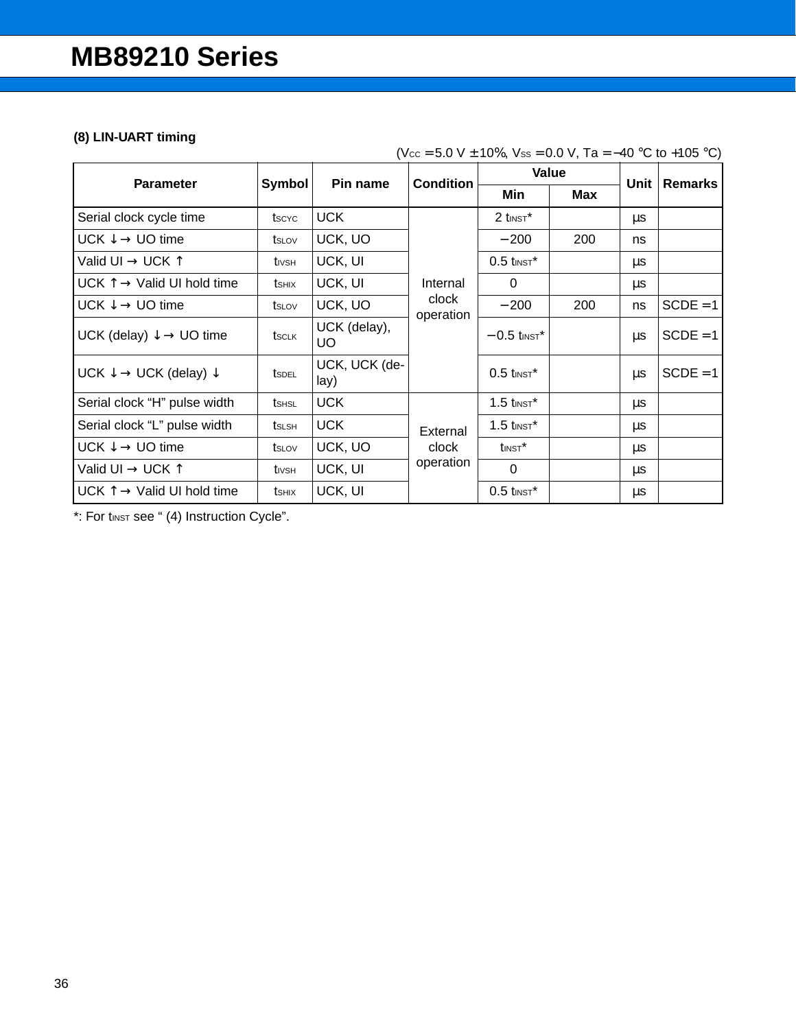### **(8) LIN-UART timing**

|                                                       |        |                       | <b>Condition</b>   | Value                     |            | Unit |                |
|-------------------------------------------------------|--------|-----------------------|--------------------|---------------------------|------------|------|----------------|
| <b>Parameter</b>                                      | Symbol | Pin name              |                    | Min                       | <b>Max</b> |      | <b>Remarks</b> |
| Serial clock cycle time                               | tscyc  | <b>UCK</b>            |                    | $2$ tinst <sup>*</sup>    |            | μs   |                |
| UCK $\downarrow \rightarrow$ UO time                  | tslov  | UCK, UO               |                    | $-200$                    | 200        | ns   |                |
| Valid UI $\rightarrow$ UCK $\uparrow$                 | tivsh  | UCK, UI               |                    | $0.5$ tinst <sup>*</sup>  |            | μs   |                |
| UCK $\uparrow \rightarrow$ Valid UI hold time         | tshix  | UCK, UI               | Internal           | $\Omega$                  |            | μs   |                |
| UCK $\downarrow \rightarrow$ UO time                  | tslov  | UCK, UO               | clock<br>operation | $-200$                    | 200        | ns   | $SCDE = 1$     |
| UCK (delay) $\downarrow \rightarrow$ UO time          | tsclk  | UCK (delay),<br>UO.   |                    | $-0.5$ tinst <sup>*</sup> |            | μs   | $SCDE = 1$     |
| UCK $\downarrow \rightarrow$ UCK (delay) $\downarrow$ | tsdel  | UCK, UCK (de-<br>lay) |                    | $0.5$ tinst <sup>*</sup>  |            | μs   | $SCDE = 1$     |
| Serial clock "H" pulse width                          | tshsl  | <b>UCK</b>            |                    | $1.5$ tinst <sup>*</sup>  |            | μs   |                |
| Serial clock "L" pulse width                          | tslsh  | <b>UCK</b>            | External           | $1.5$ tinst <sup>*</sup>  |            | μs   |                |
| $UCK \downarrow \rightarrow UO$ time                  | tslov  | UCK, UO               | clock              | $t_{\text{INST}}$ *       |            | μs   |                |
| Valid UI $\rightarrow$ UCK $\uparrow$                 | tivsh  | UCK, UI               | operation          | $\mathbf{0}$              |            | μs   |                |
| UCK $\uparrow \rightarrow$ Valid UI hold time         | tshix  | UCK, UI               |                    | $0.5$ tinst <sup>*</sup>  |            | μs   |                |

(Vcc = 5.0 V ± 10%, Vss = 0.0 V, Ta = -40 °C to +105 °C)

\*: For tinst see " (4) Instruction Cycle".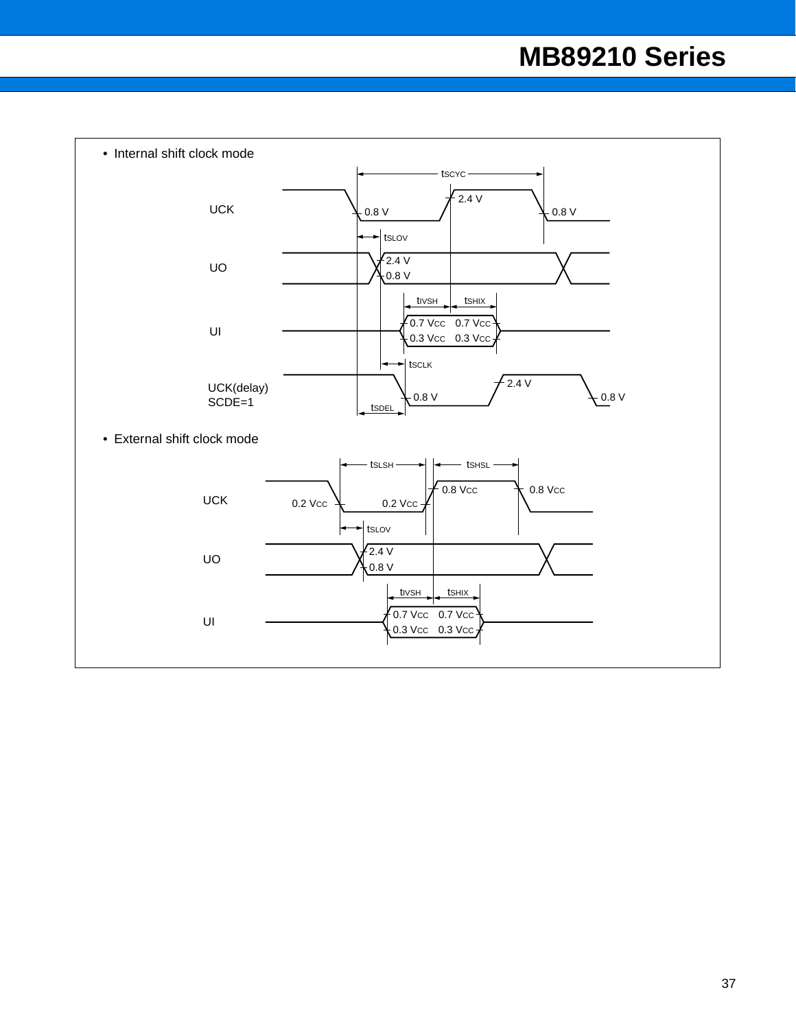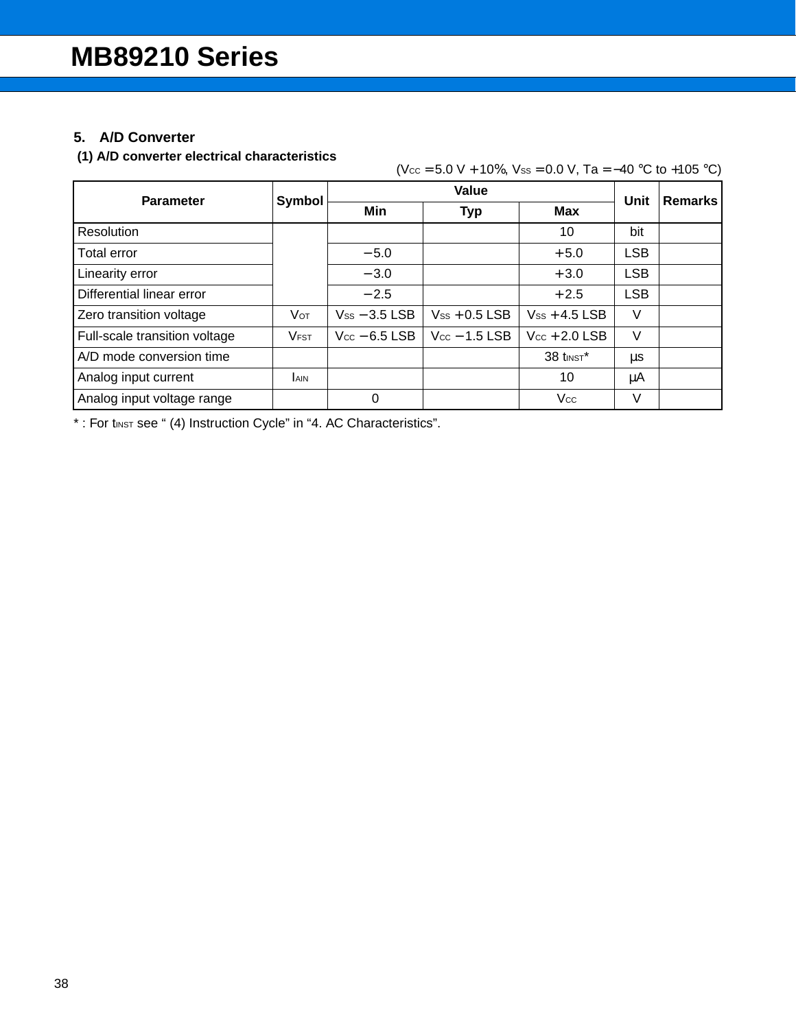## **5. A/D Converter**

### **(1) A/D converter electrical characteristics**

| <b>Parameter</b>              | Symbol      |                    | Unit               | <b>Remarks</b>     |            |  |
|-------------------------------|-------------|--------------------|--------------------|--------------------|------------|--|
|                               |             | Min                | <b>Typ</b>         | <b>Max</b>         |            |  |
| Resolution                    |             |                    |                    | 10                 | bit        |  |
| Total error                   |             | $-5.0$             |                    | $+5.0$             | <b>LSB</b> |  |
| Linearity error               |             | $-3.0$             |                    | $+3.0$             | <b>LSB</b> |  |
| Differential linear error     |             | $-2.5$             |                    | $+2.5$             | <b>LSB</b> |  |
| Zero transition voltage       | Vот         | $V_{SS}$ – 3.5 LSB | $V_{SS}$ + 0.5 LSB | $V_{SS}$ + 4.5 LSB | V          |  |
| Full-scale transition voltage | <b>VFST</b> | $V_{CC}$ – 6.5 LSB | $V_{CC}$ – 1.5 LSB | $Vec + 2.0$ LSB    | V          |  |
| A/D mode conversion time      |             |                    |                    | 38 tINST*          | μs         |  |
| Analog input current          | <b>AIN</b>  |                    |                    | 10                 | μA         |  |
| Analog input voltage range    |             | 0                  |                    | Vcc                | V          |  |

\*: For tINST see " (4) Instruction Cycle" in "4. AC Characteristics".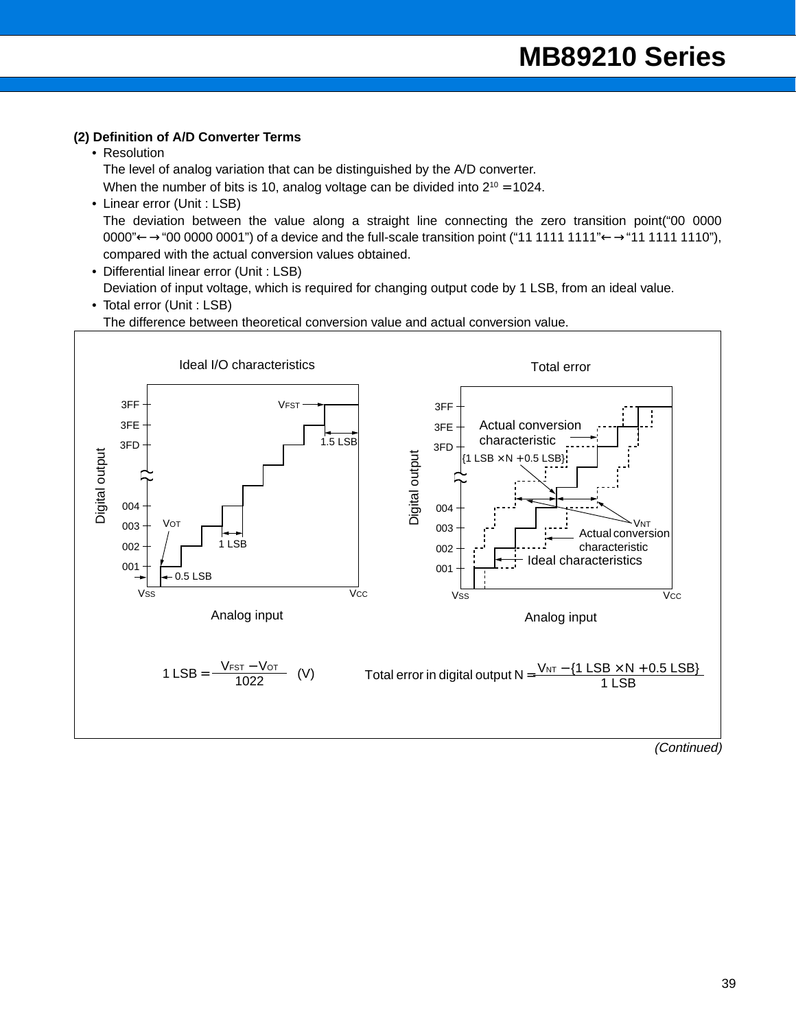#### **(2) Definition of A/D Converter Terms**

• Resolution

The level of analog variation that can be distinguished by the A/D converter.

When the number of bits is 10, analog voltage can be divided into  $2^{10} = 1024$ .

- Linear error (Unit : LSB) The deviation between the value along a straight line connecting the zero transition point("00 0000 0000" ←→"00 0000 0001") of a device and the full-scale transition point ("11 1111 1111" ←→"11 1111 1110"), compared with the actual conversion values obtained.
- Differential linear error (Unit : LSB) Deviation of input voltage, which is required for changing output code by 1 LSB, from an ideal value.

### • Total error (Unit : LSB) The difference between theoretical conversion value and actual conversion value.

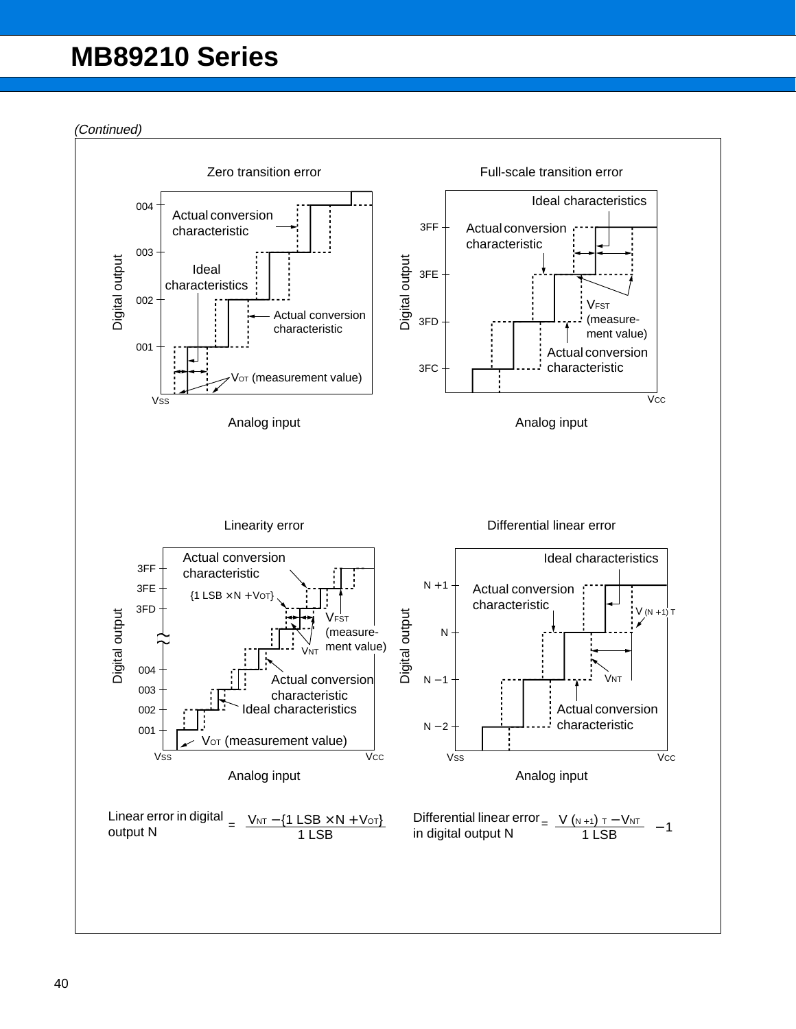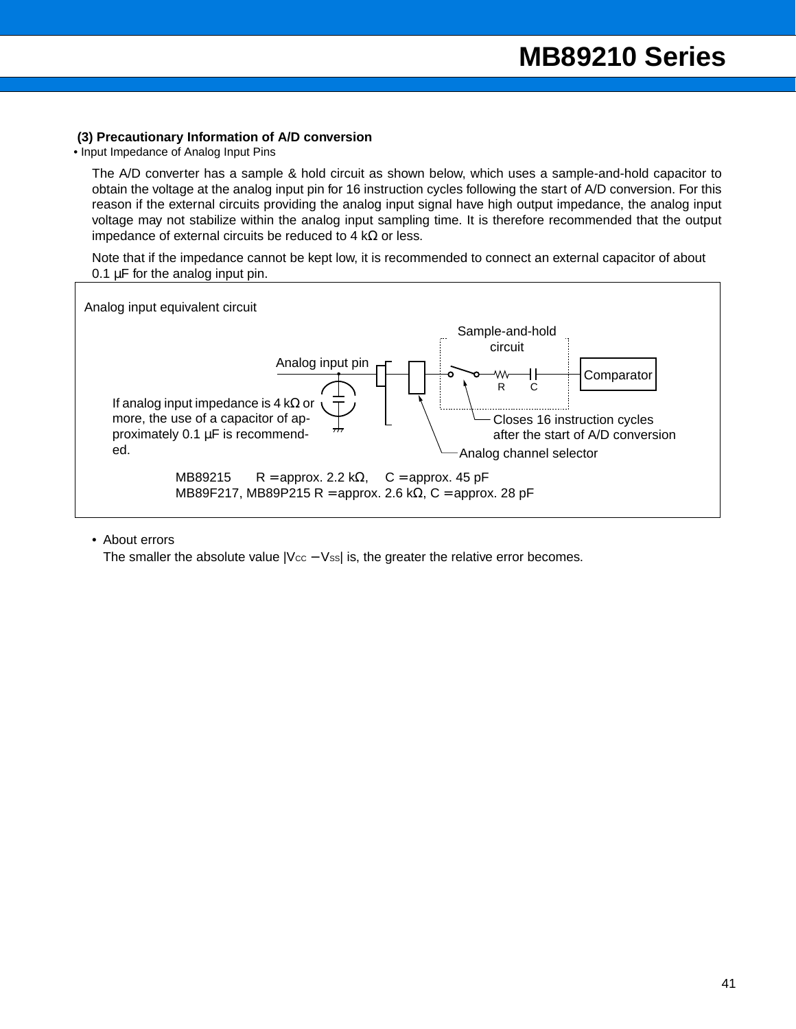#### **(3) Precautionary Information of A/D conversion**

• Input Impedance of Analog Input Pins

The A/D converter has a sample & hold circuit as shown below, which uses a sample-and-hold capacitor to obtain the voltage at the analog input pin for 16 instruction cycles following the start of A/D conversion. For this reason if the external circuits providing the analog input signal have high output impedance, the analog input voltage may not stabilize within the analog input sampling time. It is therefore recommended that the output impedance of external circuits be reduced to 4 kΩ or less.

Note that if the impedance cannot be kept low, it is recommended to connect an external capacitor of about 0.1 µF for the analog input pin.



#### • About errors

The smaller the absolute value  $|V_{CC} - V_{ss}|$  is, the greater the relative error becomes.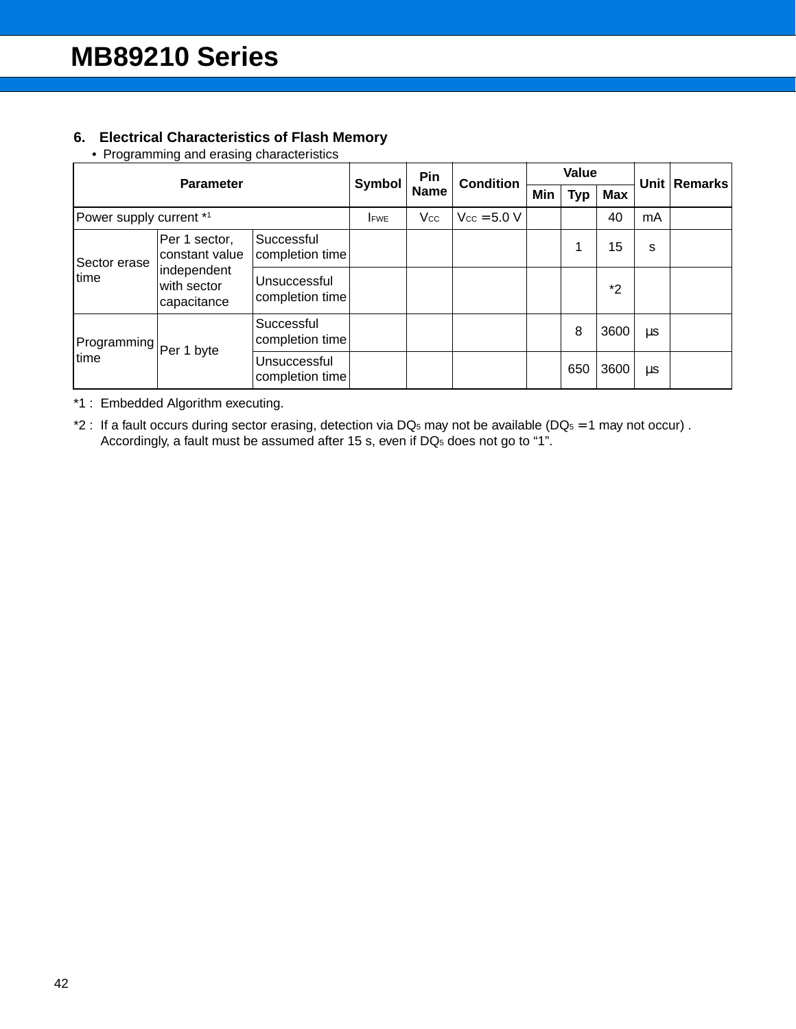### **6. Electrical Characteristics of Flash Memory**

• Programming and erasing characteristics

| <b>Parameter</b>                                  |                                 | Pin<br>Symbol                   |            | <b>Condition</b> | Value                   |     |     | Unit       | <b>Remarks</b> |  |
|---------------------------------------------------|---------------------------------|---------------------------------|------------|------------------|-------------------------|-----|-----|------------|----------------|--|
|                                                   |                                 |                                 |            | <b>Name</b>      |                         | Min | Typ | <b>Max</b> |                |  |
| Power supply current *1                           |                                 |                                 | <b>FWE</b> | Vcc              | $V_{\text{CC}} = 5.0 V$ |     |     | 40         | mA             |  |
| Sector erase                                      | Per 1 sector,<br>constant value | Successful<br>completion time   |            |                  |                         |     |     | 15         | s              |  |
| independent<br>time<br>with sector<br>capacitance |                                 | Unsuccessful<br>completion time |            |                  |                         |     |     | $*2$       |                |  |
| Programming Per 1 byte                            |                                 | Successful<br>completion time   |            |                  |                         |     | 8   | 3600       | μs             |  |
| time                                              |                                 | Unsuccessful<br>completion time |            |                  |                         |     | 650 | 3600       | μs             |  |

\*1 : Embedded Algorithm executing.

\*2 : If a fault occurs during sector erasing, detection via DQ<sub>5</sub> may not be available (DQ<sub>5</sub> = 1 may not occur). Accordingly, a fault must be assumed after 15 s, even if DQ<sub>5</sub> does not go to "1".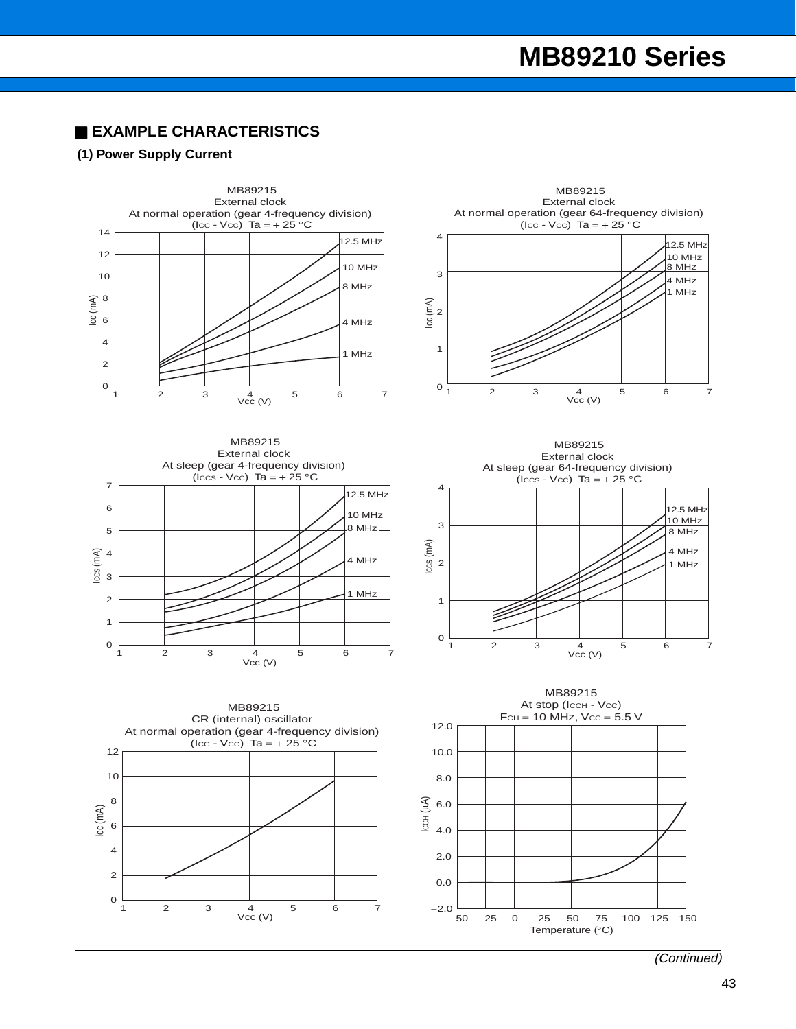## ■ **EXAMPLE CHARACTERISTICS**

#### **(1) Power Supply Current**

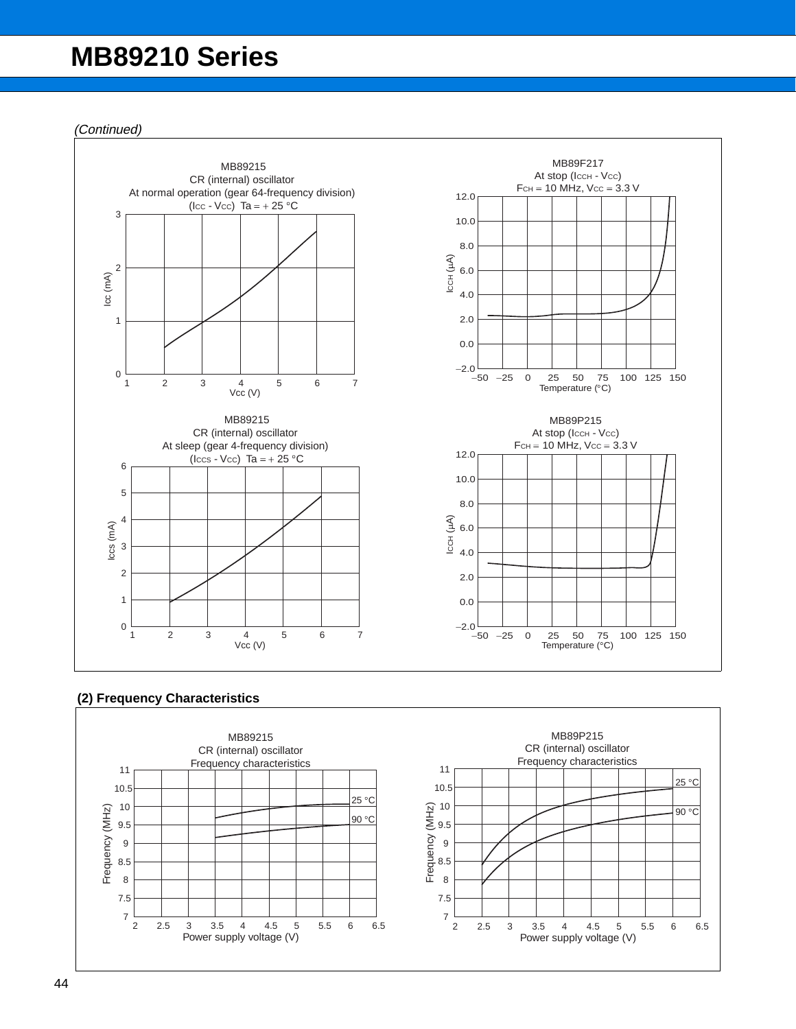(Continued)



### **(2) Frequency Characteristics**

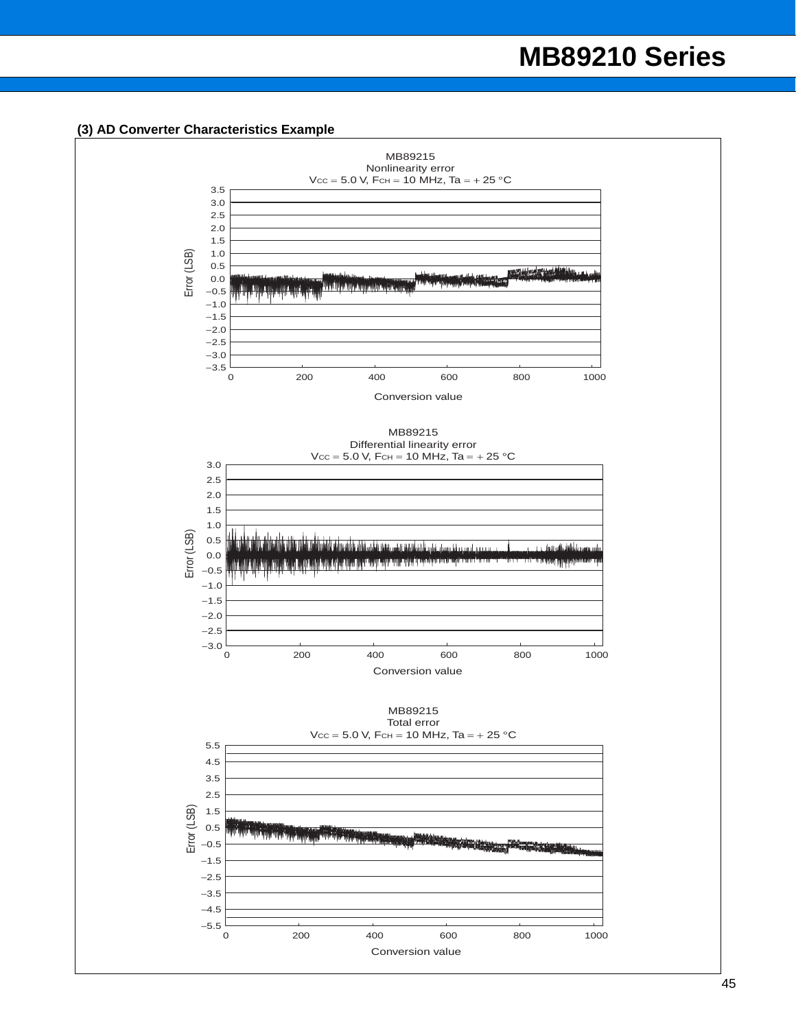#### **(3) AD Converter Characteristics Example**

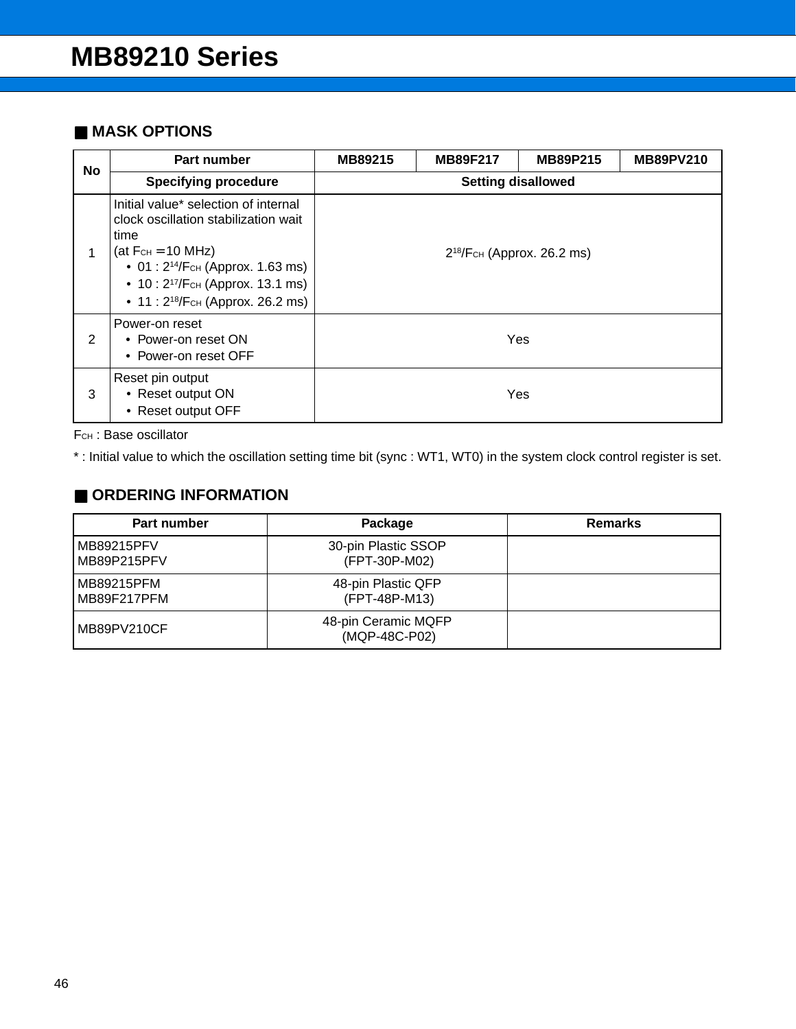## ■ **MASK OPTIONS**

| <b>No</b> | Part number                                                                                                                                                                                                                                                            | MB89215                         | <b>MB89PV210</b><br><b>MB89F217</b><br><b>MB89P215</b> |     |  |  |  |
|-----------|------------------------------------------------------------------------------------------------------------------------------------------------------------------------------------------------------------------------------------------------------------------------|---------------------------------|--------------------------------------------------------|-----|--|--|--|
|           | <b>Specifying procedure</b>                                                                                                                                                                                                                                            |                                 | <b>Setting disallowed</b>                              |     |  |  |  |
|           | Initial value* selection of internal<br>clock oscillation stabilization wait<br>time<br>(at $F_{CH} = 10 \text{ MHz}$ )<br>• 01: 2 <sup>14</sup> /F <sub>CH</sub> (Approx. 1.63 ms)<br>• 10: $2^{17}/F$ CH (Approx. 13.1 ms)<br>• 11 : $2^{18}/F$ CH (Approx. 26.2 ms) | $2^{18}/F$ CH (Approx. 26.2 ms) |                                                        |     |  |  |  |
| 2         | Power-on reset<br>• Power-on reset ON<br>• Power-on reset OFF                                                                                                                                                                                                          | Yes                             |                                                        |     |  |  |  |
| 3         | Reset pin output<br>• Reset output ON<br>• Reset output OFF                                                                                                                                                                                                            |                                 |                                                        | Yes |  |  |  |

FCH : Base oscillator

\* : Initial value to which the oscillation setting time bit (sync : WT1, WT0) in the system clock control register is set.

## ■ **ORDERING INFORMATION**

| Part number               | Package                              | <b>Remarks</b> |
|---------------------------|--------------------------------------|----------------|
| MB89215PFV<br>MB89P215PFV | 30-pin Plastic SSOP<br>(FPT-30P-M02) |                |
| MB89215PFM<br>MB89F217PFM | 48-pin Plastic QFP<br>(FPT-48P-M13)  |                |
| MB89PV210CF               | 48-pin Ceramic MQFP<br>(MQP-48C-P02) |                |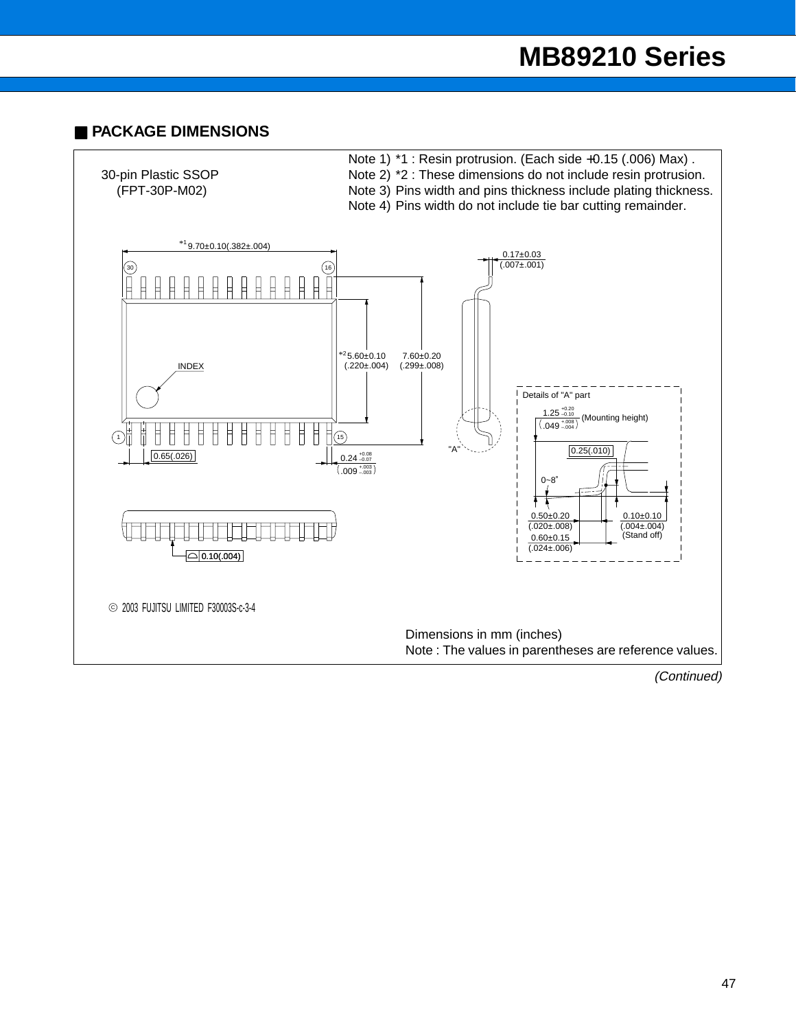## ■ **PACKAGE DIMENSIONS**

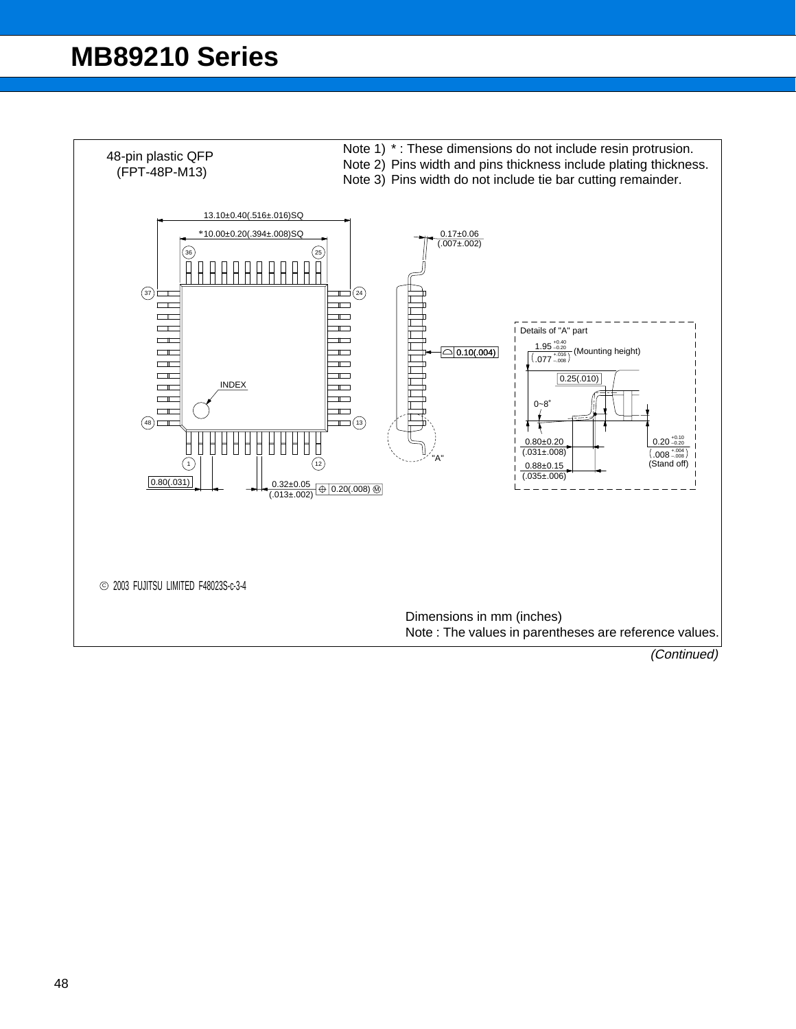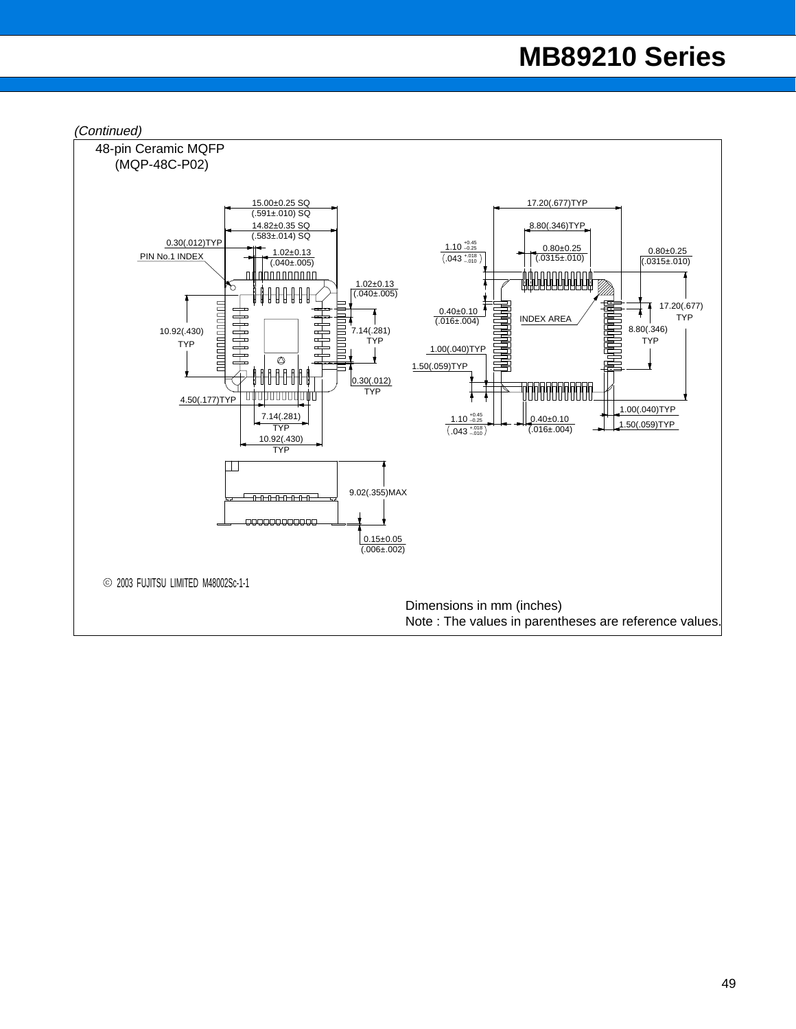